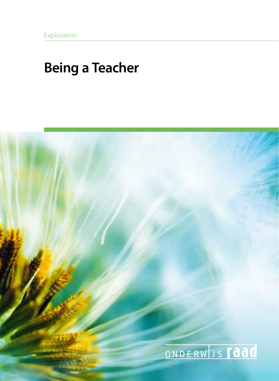# **Being a Teacher**

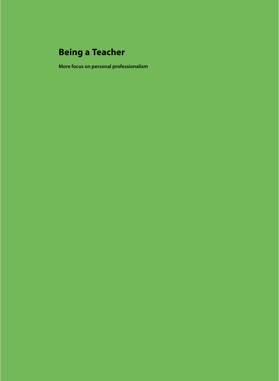# **Being a Teacher**

**More focus on personal professionalism**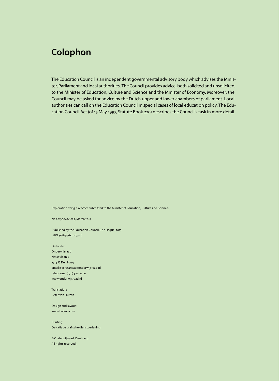# **Colophon**

The Education Council is an independent governmental advisory body which advises the Minister, Parliament and local authorities. The Council provides advice, both solicited and unsolicited, to the Minister of Education, Culture and Science and the Minister of Economy. Moreover, the Council may be asked for advice by the Dutch upper and lower chambers of parliament. Local authorities can call on the Education Council in special cases of local education policy. The Education Council Act (of 15 May 1997, Statute Book 220) describes the Council's task in more detail.

Exploration *Being a Teacher*, submitted to the Minister of Education, Culture and Science.

Nr. 20130042/1029, March 2013

Published by the Education Council, The Hague, 2013. ISBN: 978-946121-034-0

Orders to: Onderwijsraad Nassaulaan 6 2514 JS Den Haag email: secretariaat@onderwijsraad.nl telephone: (070) 310 00 00 www.onderwijsraad.nl

Translation: Peter van Huizen

Design and layout: www.balyon.com

Printing: DeltaHage grafische dienstverlening

© Onderwijsraad, Den Haag. All rights reserved.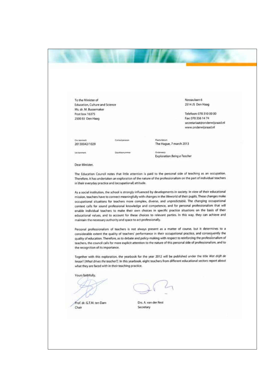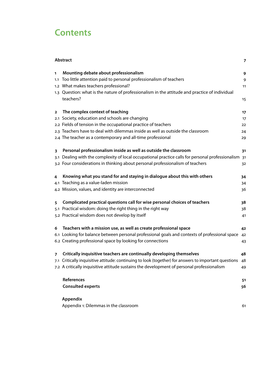# **Contents**

|                         | Abstract<br>7                                                                                         |    |  |
|-------------------------|-------------------------------------------------------------------------------------------------------|----|--|
| 1                       | Mounting debate about professionalism                                                                 | 9  |  |
|                         | 1.1 Too little attention paid to personal professionalism of teachers                                 | 9  |  |
|                         | 1.2 What makes teachers professional?                                                                 | 11 |  |
|                         | 1.3 Question: what is the nature of professionalism in the attitude and practice of individual        |    |  |
|                         | teachers?                                                                                             | 15 |  |
| $\overline{\mathbf{2}}$ | The complex context of teaching                                                                       | 17 |  |
|                         | 2.1 Society, education and schools are changing                                                       | 17 |  |
|                         | 2.2 Fields of tension in the occupational practice of teachers                                        | 22 |  |
|                         | 2.3 Teachers have to deal with dilemmas inside as well as outside the classroom                       | 24 |  |
|                         | 2.4 The teacher as a contemporary and all-time professional                                           | 29 |  |
| 3                       | Personal professionalism inside as well as outside the classroom                                      | 31 |  |
|                         | 3.1 Dealing with the complexity of local occupational practice calls for personal professionalism 31  |    |  |
|                         | 3.2 Four considerations in thinking about personal professionalism of teachers                        | 32 |  |
| 4                       | Knowing what you stand for and staying in dialogue about this with others                             | 34 |  |
|                         | 4.1 Teaching as a value-laden mission                                                                 | 34 |  |
|                         | 4.2 Mission, values, and identity are interconnected                                                  | 36 |  |
| 5                       | Complicated practical questions call for wise personal choices of teachers                            | 38 |  |
|                         | 5.1 Practical wisdom: doing the right thing in the right way                                          | 38 |  |
|                         | 5.2 Practical wisdom does not develop by itself                                                       | 41 |  |
| 6                       | Teachers with a mission use, as well as create professional space                                     | 42 |  |
|                         | 6.1 Looking for balance between personal professional goals and contexts of professional space        | 42 |  |
|                         | 6.2 Creating professional space by looking for connections                                            | 43 |  |
| $\overline{z}$          | Critically inquisitive teachers are continually developing themselves                                 | 48 |  |
|                         | 7.1 Critically inquisitive attitude: continuing to look (together) for answers to important questions | 48 |  |
|                         | 7.2 A critically inquisitive attitude sustains the development of personal professionalism            | 49 |  |
|                         | References                                                                                            | 51 |  |
|                         | <b>Consulted experts</b>                                                                              | 56 |  |
|                         | Appendix                                                                                              |    |  |
|                         | Appendix 1: Dilemmas in the classroom                                                                 | 61 |  |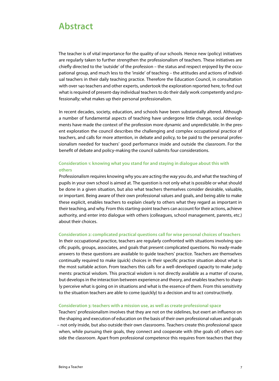# **Abstract**

The teacher is of vital importance for the quality of our schools. Hence new (policy) initiatives are regularly taken to further strengthen the professionalism of teachers. These initiatives are chiefly directed to the 'outside' of the profession – the status and respect enjoyed by the occupational group, and much less to the 'inside' of teaching – the attitudes and actions of individual teachers in their daily teaching practice. Therefore the Education Council, in consultation with over 140 teachers and other experts, undertook the exploration reported here, to find out what is required of present-day individual teachers to do their daily work competently and professionally; what makes up their personal professionalism.

In recent decades, society, education, and schools have been substantially altered. Although a number of fundamental aspects of teaching have undergone little change, social developments have made the context of the profession more dynamic and unpredictable. In the present exploration the council describes the challenging and complex occupational practice of teachers, and calls for more attention, in debate and policy, to be paid to the personal professionalism needed for teachers' good performance inside and outside the classroom. For the benefit of debate and policy-making the council submits four considerations.

# **Consideration 1: knowing what you stand for and staying in dialogue about this with others**

Professionalism requires knowing why you are acting the way you do, and what the teaching of pupils in your own school is aimed at. The question is not only what is possible or what should be done in a given situation, but also what teachers themselves consider desirable, valuable, or important. Being aware of their own professional values and goals, and being able to make these explicit, enables teachers to explain clearly to others what they regard as important in their teaching, and why. From this starting-point teachers can account for their actions, achieve authority, and enter into dialogue with others (colleagues, school management, parents, etc.) about their choices.

#### **Consideration 2: complicated practical questions call for wise personal choices of teachers**

In their occupational practice, teachers are regularly confronted with situations involving specific pupils, groups, associates, and goals that present complicated questions. No ready-made answers to these questions are available to guide teachers' practice. Teachers are themselves continually required to make (quick) choices in their specific practice situation about what is the most suitable action. From teachers this calls for a well-developed capacity to make judgments: practical wisdom. This practical wisdom is not directly available as a matter of course, but develops in the interaction between experience and theory, and enables teachers to sharply perceive what is going on in situations and what is the essence of them. From this sensitivity to the situation teachers are able to come (quickly) to a decision and to act constructively.

## **Consideration 3: teachers with a mission use, as well as create professional space**

Teachers' professionalism involves that they are not on the sidelines, but exert an influence on the shaping and execution of education on the basis of their own professional values and goals – not only inside, but also outside their own classrooms. Teachers create this professional space when, while pursuing their goals, they connect and cooperate with (the goals of) others outside the classroom. Apart from professional competence this requires from teachers that they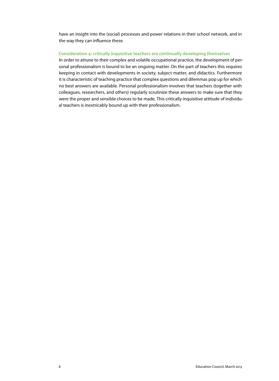have an insight into the (social) processes and power relations in their school network, and in the way they can influence these.

# **Consideration 4: critically inquisitive teachers are continually developing themselves**

In order to attune to their complex and volatile occupational practice, the development of personal professionalism is bound to be an ongoing matter. On the part of teachers this requires keeping in contact with developments in society, subject matter, and didactics. Furthermore it is characteristic of teaching practice that complex questions and dilemmas pop up for which no best answers are available. Personal professionalism involves that teachers (together with colleagues, researchers, and others) regularly scrutinize these answers to make sure that they were the proper and sensible choices to be made. This critically inquisitive attitude of individual teachers is inextricably bound up with their professionalism.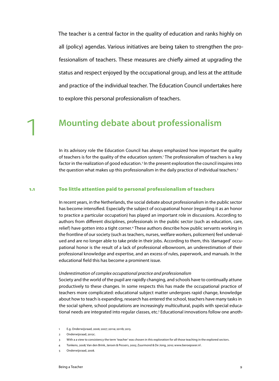The teacher is a central factor in the quality of education and ranks highly on all (policy) agendas. Various initiatives are being taken to strengthen the professionalism of teachers. These measures are chiefly aimed at upgrading the status and respect enjoyed by the occupational group, and less at the attitude and practice of the individual teacher. The Education Council undertakes here to explore this personal professionalism of teachers.

# 1 **Mounting debate about professionalism**

In its advisory role the Education Council has always emphasized how important the quality of teachers is for the quality of the education system.' The professionalism of teachers is a key factor in the realization of good education.<sup>2</sup> In the present exploration the council inquires into the question what makes up this professionalism in the daily practice of individual teachers.<sup>3</sup>

#### 1.1 Too little attention paid to personal professionalism of teachers

In recent years, in the Netherlands, the social debate about professionalism in the public sector has become intensified. Especially the subject of occupational honor (regarding it as an honor to practice a particular occupation) has played an important role in discussions. According to authors from different disciplines, professionals in the public sector (such as education, care, relief) have gotten into a tight corner.<sup>4</sup> These authors describe how public servants working in the frontline of our society (such as teachers, nurses, welfare workers, policemen) feel undervalued and are no longer able to take pride in their jobs. According to them, this 'damaged' occupational honor is the result of a lack of professional elbowroom, an underestimation of their professional knowledge and expertise, and an excess of rules, paperwork, and manuals. In the educational field this has become a prominent issue.

#### *Underestimation of complex occupational practice and professionalism*

Society and the world of the pupil are rapidly changing, and schools have to continually attune productively to these changes. In some respects this has made the occupational practice of teachers more complicated: educational subject matter undergoes rapid change, knowledge about how to teach is expanding, research has entered the school, teachers have many tasks in the social sphere, school populations are increasingly multicultural, pupils with special educational needs are integrated into regular classes, etc.<sup>5</sup> Educational innovations follow one anoth-

<sup>1</sup> E.g. Onderwijsraad, 2006; 2007; 2011a; 2011b; 2013.

<sup>2</sup> Onderwijsraad, 2012c.

With a a view to consistency the term 'teacher' was chosen in this exploration for all those teaching in the explored sectors.

<sup>4</sup> Tonkens, 2008; Van den Brink, Jansen & Pessers, 2005; Zuurmond & De Jong, 2010; www.beroepseer.nl .

<sup>5</sup> Onderwijsraad, 2008.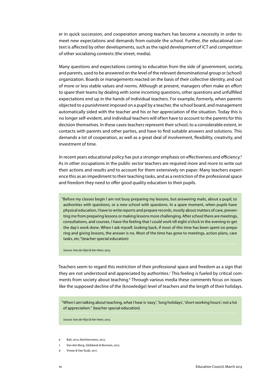er in quick succession, and cooperation among teachers has become a necessity in order to meet new expectations and demands from outside the school. Further, the educational context is affected by other developments, such as the rapid development of ICT and competition of other socializing contexts (the street, media).

Many questions and expectations coming to education from the side of government, society, and parents, used to be answered on the level of the relevant denominational group or (school) organization. Boards or managements reacted on the basis of their collective identity, and out of more or less stable values and norms. Although at present, managers often make an effort to spare their teams by dealing with some incoming questions, other questions and unfulfilled expectations end up in the hands of individual teachers. For example, formerly, when parents objected to a punishment imposed on a pupil by a teacher, the school board, and management automatically sided with the teacher and his or her appreciation of the situation. Today this is no longer self-evident, and individual teachers will often have to account to the parents for this decision themselves. In these cases teachers represent their school, to a considerable extent, in contacts with parents and other parties, and have to find suitable answers and solutions. This demands a lot of cooperation, as well as a great deal of involvement, flexibility, creativity, and investment of time.

In recent years educational policy has put a stronger emphasis on effectiveness and efficiency.<sup>6</sup> As in other occupations in the public sector teachers are required more and more to write out their actions and results and to account for them extensively on paper. Many teachers experience this as an impediment to their teaching tasks, and as a restriction of the professional space and freedom they need to offer good quality education to their pupils.

"Before my classes begin I am not busy preparing my lessons, but answering mails, about a pupil, to authorities with questions, or a new school with questions. In a spare moment, when pupils have physical education, I have to write reports and prepare records, mostly about matters of care, preventing me from preparing lessons or making lessons more challenging. After school there are meetings, consultations, and courses. I have the feeling that I could work till eight o'clock in the evening to get the day's work done. When I ask myself, looking back, if most of this time has been spent on preparing and giving lessons, the answer is no. Most of the time has gone to meetings, action plans, care tasks, etc."(teacher special education)

*Source: Van der Rijst & Van Veen, 2013.*

Teachers seem to regard this restriction of their professional space and freedom as a sign that they are not understood and appreciated by authorities.7 This feeling is fueled by critical comments from society about teaching.<sup>8</sup> Through various media these comments focus on issues like the supposed decline of the (knowledge) level of teachers and the length of their holidays.

"When I am talking about teaching, what I hear is 'easy', 'long holidays', 'short working hours'; not a lot of appreciation." (teacher special education)

*Source: Van der Rijst & Van Veen, 2013.*

- 6 Ball, 2012; Kelchtermans, 2012.
- 7 Van den Berg, Glebbeek & Bosman, 2012.
- 8 Vrieze & Van Kuijk, 2011.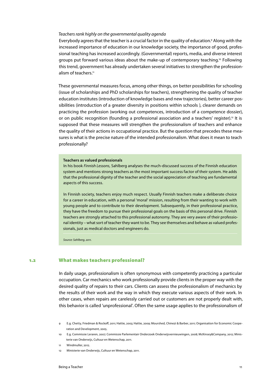#### *Teachers rank highly on the governmental quality agenda*

Everybody agrees that the teacher is a crucial factor in the quality of education.9 Along with the increased importance of education in our knowledge society, the importance of good, professional teaching has increased accordingly. (Governmental) reports, media, and diverse interest groups put forward various ideas about the make-up of contemporary teaching.10 Following this trend, government has already undertaken several initiatives to strengthen the professionalism of teachers. $11$ 

These governmental measures focus, among other things, on better possibilities for schooling (issue of scholarships and PhD scholarships for teachers), strengthening the quality of teacher education institutes (introduction of knowledge bases and new trajectories), better career possibilities (introduction of a greater diversity in positions within schools ), clearer demands on practicing the profession (working out competences, introduction of a competence dossier), or on public recognition (founding a professional association and a teachers' register).<sup>12</sup> It is supposed that these measures will strengthen the professionalism of teachers and enhance the quality of their actions in occupational practice. But the question that precedes these measures is what is the precise nature of the intended professionalism. What does it mean to teach professionally?

#### **Teachers as valued professionals**

In his book *Finnish Lessons*, Sahlberg analyses the much-discussed success of the Finnish education system and mentions strong teachers as the most important success factor of their system. He adds that the professional dignity of the teacher and the social appreciation of teaching are fundamental aspects of this success.

In Finnish society, teachers enjoy much respect. Usually Finnish teachers make a deliberate choice for a career in education, with a personal 'moral' mission, resulting from their wanting to work with young people and to contribute to their development. Subsequently, in their professional practice, they have the freedom to pursue their professional goals on the basis of this personal drive. Finnish teachers are strongly attached to this professional autonomy. They are very aware of their professional identity – what sort of teacher they want to be. They see themselves and behave as valued professionals, just as medical doctors and engineers do.

*Source: Sahlberg, 2011.* 

### 1.2 What makes teachers professional?

In daily usage, professionalism is often synonymous with competently practicing a particular occupation. Car mechanics who work professionally provide clients in the proper way with the desired quality of repairs to their cars. Clients can assess the professionalism of mechanics by the results of their work and the way in which they execute various aspects of their work. In other cases, when repairs are carelessly carried out or customers are not properly dealt with, this behavior is called 'unprofessional'. Often the same usage applies to the professionalism of

- Windmuller, 2012.
- 12 Ministerie van Onderwijs, Cultuur en Wetenschap, 2011.

<sup>9</sup> E.g. Chetty, Friedman & Rockoff, 2011; Hattie, 2003; Hattie, 2009; Mourshed, Chinezi & Barber, 2011; Organisation for Economic Cooperation and Development, 2005.

<sup>10</sup> E.g. Commissie Leraren, 2007; Commissie Parlementair Onderzoek Onderwijsvernieuwingen, 2008; McKinsey&Company, 2012; Ministerie van Onderwijs, Cultuur en Wetenschap, 2011.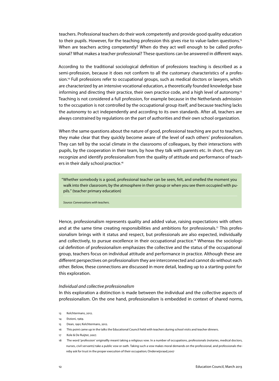teachers. Professional teachers do their work competently and provide good quality education to their pupils. However, for the teaching profession this gives rise to value-laden questions.<sup>13</sup> When are teachers acting competently? When do they act well enough to be called professional? What makes a teacher professional? These questions can be answered in different ways.

According to the traditional sociological definition of professions teaching is described as a semi-profession, because it does not conform to all the customary characteristics of a profession.14 Full professions refer to occupational groups, such as medical doctors or lawyers, which are characterized by an intensive vocational education, a theoretically founded knowledge base informing and directing their practice, their own practice code, and a high level of autonomy.<sup>15</sup> Teaching is not considered a full profession, for example because in the Netherlands admission to the occupation is not controlled by the occupational group itself, and because teaching lacks the autonomy to act independently and according to its own standards. After all, teachers are always constrained by regulations on the part of authorities and their own school organization.

When the same questions about the nature of good, professional teaching are put to teachers, they make clear that they quickly become aware of the level of each others' professionalism. They can tell by the social climate in the classrooms of colleagues, by their interactions with pupils, by the cooperation in their team, by how they talk with parents etc. In short, they can recognize and identify professionalism from the quality of attitude and performance of teachers in their daily school practice.<sup>16</sup>

"Whether somebody is a good, professional teacher can be seen, felt, and smelled the moment you walk into their classroom; by the atmosphere in their group or when you see them occupied with pupils." (teacher primary education)

*Source: Conversations with teachers.*

Hence, professionalism represents quality and added value, raising expectations with others and at the same time creating responsibilities and ambitions for professionals.<sup>17</sup> This professionalism brings with it status and respect, but professionals are also expected, individually and collectively, to pursue excellence in their occupational practice.18 Whereas the sociological definition of professionalism emphasizes the collective and the status of the occupational group, teachers focus on individual attitude and performance in practice. Although these are different perspectives on professionalism they are interconnected and cannot do without each other. Below, these connections are discussed in more detail, leading up to a starting-point for this exploration.

#### *Individual and collective professionalism*

In this exploration a distinction is made between the individual and the collective aspects of professionalism. On the one hand, professionalism is embedded in context of shared norms,

- 13 Kelchtermans, 2012.
- 14 Etzioni, 1969.
- 15 Dean, 1991; Kelchtermans, 2012.
- 16 This point came up in the talks the Educational Council held with teachers during school visits and teacher dinners.
- Kole & De Ruijter, 2007.

<sup>18</sup> The word 'profession' originallly meant taking a religious vow. In a number of occupations, professionals (notaries, medical doctors, nurses, civil servants) take a public vow or oath. Taking such a vow makes moral demands on the professional, and professionals thereby ask for trust in the proper execution of their occupation; Onderwijsraad,2007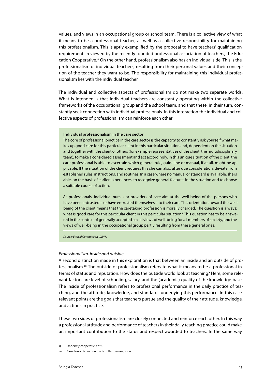values, and views in an occupational group or school team. There is a collective view of what it means to be a professional teacher, as well as a collective responsibility for maintaining this professionalism. This is aptly exemplified by the proposal to have teachers' qualification requirements reviewed by the recently founded professional association of teachers, the Education Cooperative.19 On the other hand, professionalism also has an individual side. This is the professionalism of individual teachers, resulting from their personal values and their conception of the teacher they want to be. The responsibility for maintaining this individual professionalism lies with the individual teacher.

The individual and collective aspects of professionalism do not make two separate worlds. What is intended is that individual teachers are constantly operating within the collective frameworks of the occupational group and the school team, and that these, in their turn, constantly seek connection with individual professionals. In this interaction the individual and collective aspects of professionalism can reinforce each other.

#### **Individual professionalism in the care sector**

The core of professional practice in the care sector is the capacity to constantly ask yourself what makes up good care for this particular client in this particular situation and, dependent on the situation and together with the client or others (for example representatives of the client, the multidisciplinary team), to make a considered assessment and act accordingly. In this unique situation of the client, the care professional is able to ascertain which general rule, guideline or manual, if at all, might be applicable. If the situation of the client requires this she can also, after due consideration, deviate from established rules, instructions, and routines. In a case where no manual or standard is available, she is able, on the basis of earlier experiences, to recognize general features in the situation and to choose a suitable course of action.

As professionals, individual nurses or providers of care aim at the well-being of the persons who have been entrusted – or have entrusted themselves – to their care. This orientation toward the wellbeing of the client means that the caretaking profession is morally charged. The question is always: what is good care for this particular client in this particular situation? This question has to be answered in the context of generally accepted social views of well-being for all members of society, and the views of well-being in the occupational group partly resulting from these general ones.

*Source: Ethical Commission V&VN .*

#### *Professionalism, inside and outside*

A second distinction made in this exploration is that between an inside and an outside of professionalism.20 The outside of professionalism refers to what it means to be a professional in terms of status and reputation. How does the outside world look at teaching? Here, some relevant factors are level of schooling, salary, and the (academic) quality of the knowledge base. The inside of professionalism refers to professional performance in the daily practice of teaching, and the attitude, knowledge, and standards underlying this performance. In this case relevant points are the goals that teachers pursue and the quality of their attitude, knowledge, and actions in practice.

These two sides of professionalism are closely connected and reinforce each other. In this way a professional attitude and performance of teachers in their daily teaching practice could make an important contribution to the status and respect awarded to teachers. In the same way

<sup>19</sup> Onderwijscoöperatie, 2012.

<sup>20</sup> Based on a distinction made in Hargreaves, 2000.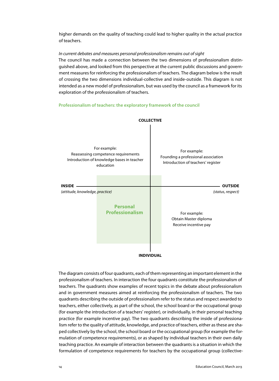higher demands on the quality of teaching could lead to higher quality in the actual practice of teachers.

### *In current debates and measures personal professionalism remains out of sight*

The council has made a connection between the two dimensions of professionalism distinguished above, and looked from this perspective at the current public discussions and government measures for reinforcing the professionalism of teachers. The diagram below is the result of crossing the two dimensions individual-collective and inside-outside. This diagram is not intended as a new model of professionalism, but was used by the council as a framework for its exploration of the professionalism of teachers.

#### **Professionalism of teachers: the exploratory framework of the council**



The diagram consists of four quadrants, each of them representing an important element in the professionalism of teachers. In interaction the four quadrants constitute the professionalism of teachers. The quadrants show examples of recent topics in the debate about professionalism and in government measures aimed at reinforcing the professionalism of teachers. The two quadrants describing the outside of professionalism refer to the status and respect awarded to teachers, either collectively, as part of the school, the school board or the occupational group (for example the introduction of a teachers' register), or individually, in their personal teaching practice (for example incentive pay). The two quadrants describing the inside of professionalism refer to the quality of attitude, knowledge, and practice of teachers, either as these are shaped collectively by the school, the school board or the occupational group (for example the formulation of competence requirements), or as shaped by individual teachers in their own daily teaching practice. An example of interaction between the quadrants is a situation in which the formulation of competence requirements for teachers by the occupational group (collective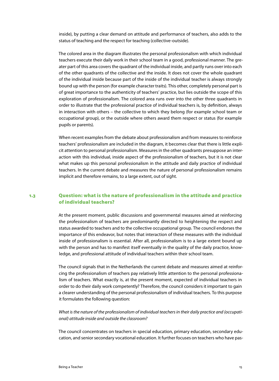inside), by putting a clear demand on attitude and performance of teachers, also adds to the status of teaching and the respect for teaching (collective-outside).

The colored area in the diagram illustrates the personal professionalism with which individual teachers execute their daily work in their school team in a good, professional manner. The greater part of this area covers the quadrant of the individual inside, and partly runs over into each of the other quadrants of the collective and the inside. It does not cover the whole quadrant of the individual inside because part of the inside of the individual teacher is always strongly bound up with the person (for example character traits). This other, completely personal part is of great importance to the authenticity of teachers' practice, but lies outside the scope of this exploration of professionalism. The colored area runs over into the other three quadrants in order to illustrate that the professional practice of individual teachers is, by definition, always in interaction with others – the collective to which they belong (for example school team or occupational group), or the outside where others award them respect or status (for example pupils or parents).

When recent examples from the debate about professionalism and from measures to reinforce teachers' professionalism are included in the diagram, it becomes clear that there is little explicit attention to personal professionalism. Measures in the other quadrants presuppose an interaction with this individual, inside aspect of the professionalism of teachers, but it is not clear what makes up this personal professionalism in the attitude and daily practice of individual teachers. In the current debate and measures the nature of personal professionalism remains implicit and therefore remains, to a large extent, out of sight.

# 1.3 Question: what is the nature of professionalism in the attitude and practice of individual teachers?

At the present moment, public discussions and governmental measures aimed at reinforcing the professionalism of teachers are predominantly directed to heightening the respect and status awarded to teachers and to the collective occupational group. The council endorses the importance of this endeavor, but notes that interaction of these measures with the individual inside of professionalism is essential. After all, professionalism is to a large extent bound up with the person and has to manifest itself eventually in the quality of the daily practice, knowledge, and professional attitude of individual teachers within their school team.

The council signals that in the Netherlands the current debate and measures aimed at reinforcing the professionalism of teachers pay relatively little attention to the personal professionalism of teachers. What exactly is, at the present moment, expected of individual teachers in order to do their daily work competently? Therefore, the council considers it important to gain a clearer understanding of the personal professionalism of individual teachers. To this purpose it formulates the following question:

*What is the nature of the professionalism of individual teachers in their daily practice and (occupational) attitude inside and outside the classroom?*

The council concentrates on teachers in special education, primary education, secondary education, and senior secondary vocational education. It further focuses on teachers who have pas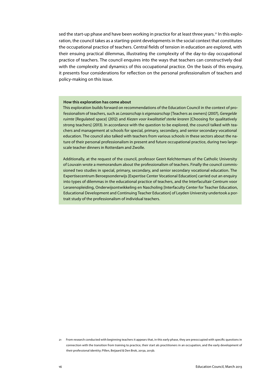sed the start-up phase and have been working in practice for at least three years.<sup>21</sup> In this exploration, the council takes as a starting-point developments in the social context that constitutes the occupational practice of teachers. Central fields of tension in education are explored, with their ensuing practical dilemmas, illustrating the complexity of the day-to-day occupational practice of teachers. The council enquires into the ways that teachers can constructively deal with the complexity and dynamics of this occupational practice. On the basis of this enquiry, it presents four considerations for reflection on the personal professionalism of teachers and policy-making on this issue.

#### **How this exploration has come about**

This exploration builds forward on recommendations of the Education Council in the context of professionalism of teachers, such as *Leraarschap is eigenaarschap* [Teachers as owners] (2007), *Geregelde ruimte* [Regulated space] (2012) and *Kiezen voor kwalitatief sterke leraren* [Choosing for qualitatively strong teachers] (2013). In accordance with the question to be explored, the council talked with teachers and management at schools for special, primary, secondary, and senior secondary vocational education. The council also talked with teachers from various schools in these sectors about the nature of their personal professionalism in present and future occupational practice, during two largescale teacher dinners in Rotterdam and Zwolle.

Additionally, at the request of the council, professor Geert Kelchtermans of the Catholic University of Louvain wrote a memorandum about the professionalism of teachers. Finally the council commissioned two studies in special, primary, secondary, and senior secondary vocational education. The Expertisecentrum Beroepsonderwijs [Expertise Center Vocational Education] carried out an enquiry into types of dilemmas in the educational practice of teachers, and the Interfacultair Centrum voor Lerarenopleiding, Onderwijsontwikkeling en Nascholing [Interfaculty Center for Teacher Education, Educational Development and Continuing Teacher Education] of Leyden University undertook a portrait study of the professionalism of individual teachers.

<sup>21</sup> From research conducted with beginning teachers it appears that, in this early phase, they are preoccupied with specific questions in connection with the transition from training to practice, their start als practitioners in an occupation, and the early development of their professional identity; Pillen, Beijaard & Den Brok, 2013a, 2013b.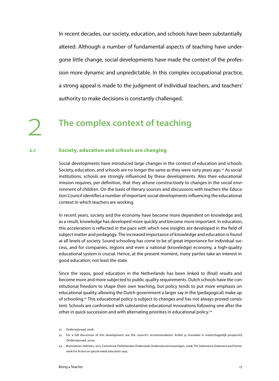In recent decades, our society, education, and schools have been substantially altered. Although a number of fundamental aspects of teaching have undergone little change, social developments have made the context of the profession more dynamic and unpredictable. In this complex occupational practice, a strong appeal is made to the judgment of individual teachers, and teachers' authority to make decisions is constantly challenged.

# 2 **The complex context of teaching**

# 2.1 Society, education and schools are changing

Social developments have introduced large changes in the context of education and schools. Society, education, and schools are no longer the same as they were sixty years ago.<sup>22</sup> As social institutions, schools are strongly influenced by these developments. Also their educational mission requires, per definition, that they attune constructively to changes in the social environment of children. On the basis of literary sources and discussions with teachers the Education Council identifies a number of important social developments influencing the educational context in which teachers are working.

In recent years, society and the economy have become more dependent on knowledge and, as a result, knowledge has developed more quickly and become more important. In education, this acceleration is reflected in the pace with which new insights are developed in the field of subject matter and pedagogy. The increased importance of knowledge and education is found at all levels of society. Sound schooling has come to be of great importance for individual success, and for companies, regions and even a national (knowledge) economy, a high-quality educational system is crucial. Hence, at the present moment, many parties take an interest in good education, not least the state.

Since the 1990s, good education in the Netherlands has been linked to (final) results and become more and more subjected to public quality requirements. Dutch schools have the constitutional freedom to shape their own teaching, but policy tends to put more emphasis on educational quality, allowing the Dutch government a larger say in the (pedagogical) make up of schooling.<sup>23</sup> This educational policy is subject to changes and has not always proved consistent. Schools are confronted with substantive educational innovations following one after the other in quick succession and with alternating priorities in educational policy.24

<sup>22</sup> Onderwijsraad, 2008.

<sup>23</sup> For a full discussion of this development see the council's recommendation *Artikel 23 Grondwet in maatschappelijk perspectief,*  Onderwijsraad, 2012a.

<sup>24</sup> Bronneman-Helmers, 2011; Commissie Parlementair Onderzoek Onderwijsvernieuwingen, 2008; *The Salamanca Statement and Framework For Action on special needs education 1994.*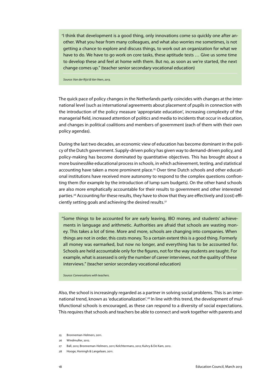"I think that development is a good thing, only innovations come so quickly one after another. What you hear from many colleagues, and what also worries me sometimes, is not getting a chance to explore and discuss things, to work out an organization for what we have to do. We have to go work on core tasks, these aptitude tests … Give us some time to develop these and feel at home with them. But no, as soon as we're started, the next change comes up." (teacher senior secondary vocational education)

*Source: Van der Rijst & Van Veen, 2013.*

The quick pace of policy changes in the Netherlands partly coincides with changes at the international level (such as international agreements about placement of pupils in connection with the introduction of the policy measure 'appropriate education', increasing complexity of the managerial field, increased attention of politics and media to incidents that occur in education, and changes in political coalitions and members of government (each of them with their own policy agendas).

During the last two decades, an economic view of education has become dominant in the policy of the Dutch government. Supply-driven policy has given way to demand-driven policy, and policy-making has become dominated by quantitative objectives. This has brought about a more businesslike educational process in schools, in which achievement, testing, and statistical accounting have taken a more prominent place.25 Over time Dutch schools and other educational institutions have received more autonomy to respond to the complex questions confronting them (for example by the introduction of lump sum budgets). On the other hand schools are also more emphatically accountable for their results to government and other interested parties.<sup>26</sup> Accounting for these results, they have to show that they are effectively and (cost) efficiently setting goals and achieving the desired results.<sup>27</sup>

"Some things to be accounted for are early leaving, IBO money, and students' achievements in language and arithmetic. Authorities are afraid that schools are wasting money. This takes a lot of time. More and more, schools are changing into companies. When things are not in order, this costs money. To a certain extent this is a good thing. Formerly all money was earmarked, but now no longer, and everything has to be accounted for. Schools are held accountable only for the figures, not for the way students are taught. For example, what is assessed is only the number of career interviews, not the quality of these interviews." (teacher senior secondary vocational education)

*Source: Conversations with teachers.*

Also, the school is increasingly regarded as a partner in solving social problems. This is an international trend, known as 'educationalization'.<sup>28</sup> In line with this trend, the development of multifunctional schools is encouraged, as these can respond to a diversity of social expectations. This requires that schools and teachers be able to connect and work together with parents and

26 Windmuller, 2012.

<sup>25</sup> Bronneman-Helmers, 2011.

<sup>27</sup> Ball, 2012; Bronneman-Helmers, 2011; Kelchtermans, 2012; Kuhry & De Kam, 2012.

<sup>28</sup> Hooge, Honingh & Langelaan, 2011.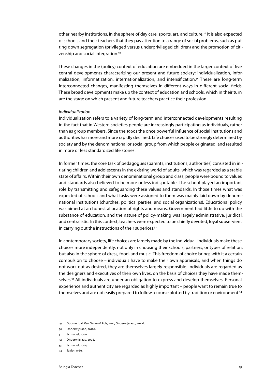other nearby institutions, in the sphere of day care, sports, art, and culture.<sup>29</sup> It is also expected of schools and their teachers that they pay attention to a range of social problems, such as putting down segregation (privileged versus underprivileged children) and the promotion of citizenship and social integration.30

These changes in the (policy) context of education are embedded in the larger context of five central developments characterizing our present and future society: individualization, informalization, informatization, internationalization, and intensification.<sup>31</sup> These are long-term interconnected changes, manifesting themselves in different ways in different social fields. These broad developments make up the context of education and schools, which in their turn are the stage on which present and future teachers practice their profession.

#### *Individualization*

Individualization refers to a variety of long-term and interconnected developments resulting in the fact that in Western societies people are increasingly participating as individuals, rather than as group members. Since the 1960s the once powerful influence of social institutions and authorities has more and more rapidly declined. Life choices used to be strongly determined by society and by the denominational or social group from which people originated, and resulted in more or less standardized life stories.

In former times, the core task of pedagogues (parents, institutions, authorities) consisted in initiating children and adolescents in the existing world of adults, which was regarded as a stable state of affairs. Within their own denominational group and class, people were bound to values and standards also believed to be more or less indisputable. The school played an important role by transmitting and safeguarding these values and standards. In those times what was expected of schools and what tasks were assigned to them was mainly laid down by denominational institutions (churches, political parties, and social organizations). Educational policy was aimed at an honest allocation of rights and means. Government had little to do with the substance of education, and the nature of policy-making was largely administrative, juridical, and centralistic. In this context, teachers were expected to be chiefly devoted, loyal subservient in carrying out the instructions of their superiors.<sup>32</sup>

In contemporary society, life choices are largely made by the individual. Individuals make these choices more independently, not only in choosing their schools, partners, or types of relation, but also in the sphere of dress, food, and music. This freedom of choice brings with it a certain compulsion to choose – individuals have to make their own appraisals, and when things do not work out as desired, they are themselves largely responsible. Individuals are regarded as the designers and executives of their own lives, on the basis of choices they have made themselves.33 All individuals are under an obligation to express and develop themselves. Personal experience and authenticity are regarded as highly important – people want to remain true to themselves and are not easily prepared to follow a course plotted by tradition or environment.<sup>34</sup>

- 32 Onderwijsraad, 2008.
- 33 Schnabel, 2004.
- 34 Taylor, 1989.

<sup>29</sup> Doornenbal, Van Oenen & Pols, 2012; Onderwijsraad, 2012d.

<sup>30</sup> Onderwijsraad, 2012d.

<sup>31</sup> Schnabel, 2000.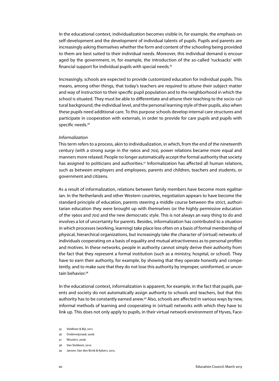In the educational context, individualization becomes visible in, for example, the emphasis on self-development and the development of individual talents of pupils. Pupils and parents are increasingly asking themselves whether the form and content of the schooling being provided to them are best suited to their individual needs. Moreover, this individual demand is encouraged by the government, in, for example, the introduction of the so-called 'rucksacks' with financial support for individual pupils with special needs.35

Increasingly, schools are expected to provide customized education for individual pupils. This means, among other things, that today's teachers are required to attune their subject matter and way of instruction to their specific pupil population and to the neighborhood in which the school is situated. They must be able to differentiate and attune their teaching to the socio-cultural background, the individual level, and the personal learning style of their pupils, also when these pupils need additional care. To this purpose schools develop internal care structures and participate in cooperation with externals, in order to provide for care pupils and pupils with specific needs.<sup>36</sup>

#### *Informalization*

This term refers to a process, akin to individualization, in which, from the end of the nineteenth century (with a strong surge in the 1960s and 70s), power relations became more equal and manners more relaxed. People no longer automatically accept the formal authority that society has assigned to politicians and authorities.<sup>37</sup> Informalization has affected all human relations, such as between employers and employees, parents and children, teachers and students, or government and citizens.

As a result of informalization, relations between family members have become more egalitarian. In the Netherlands and other Western countries, negotiation appears to have become the standard principle of education, parents steering a middle course between the strict, authoritarian education they were brought up with themselves (or the highly permissive education of the 1960s and 70s) and the new democratic style. This is not always an easy thing to do and involves a lot of uncertainty for parents. Besides, informalization has contributed to a situation in which processes (working, learning) take place less often on a basis of formal membership of physical, hierarchical organizations, but increasingly take the character of (virtual) networks of individuals cooperating on a basis of equality and mutual attractiveness as to personal profiles and motives. In these networks, people in authority cannot simply derive their authority from the fact that they represent a formal institution (such as a ministry, hospital, or school). They have to earn their authority, for example, by showing that they operate honestly and competently, and to make sure that they do not lose this authority by improper, uninformed, or uncertain behavior.<sup>38</sup>

In the educational context, informalization is apparent, for example, in the fact that pupils, parents and society do not automatically assign authority to schools and teachers, but that this authority has to be constantly earned anew.<sup>39</sup> Also, schools are affected in various ways by new, informal methods of learning and cooperating in (virtual) networks with which they have to link up. This does not only apply to pupils, in their virtual network environment of Hyves, Face-

- 35 Veldheer & Bijl, 2011.
- 36 Onderwijsraad, 2008.
- 37 Wouters, 2008.
- 38 Van Stokkom, 2010
- 39 Jansen, Van den Brink & Kybers, 2012.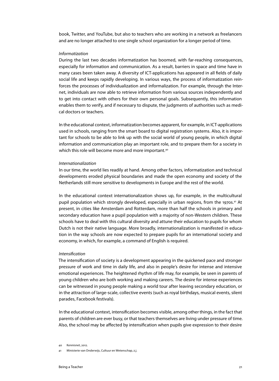book, Twitter, and YouTube, but also to teachers who are working in a network as freelancers and are no longer attached to one single school organization for a longer period of time.

#### *Informatization*

During the last two decades informatization has boomed, with far-reaching consequences, especially for information and communication. As a result, barriers in space and time have in many cases been taken away. A diversity of ICT-applications has appeared in all fields of daily social life and keeps rapidly developing. In various ways, the process of informatization reinforces the processes of individualization and informalization. For example, through the Internet, individuals are now able to retrieve information from various sources independently and to get into contact with others for their own personal goals. Subsequently, this information enables them to verify, and if necessary to dispute, the judgments of authorities such as medical doctors or teachers.

In the educational context, informatization becomes apparent, for example, in ICT-applications used in schools, ranging from the smart board to digital registration systems. Also, it is important for schools to be able to link up with the social world of young people, in which digital information and communication play an important role, and to prepare them for a society in which this role will become more and more important.<sup>40</sup>

#### *Internationalization*

In our time, the world lies readily at hand. Among other factors, informatization and technical developments eroded physical boundaries and made the open economy and society of the Netherlands still more sensitive to developments in Europe and the rest of the world.

In the educational context internationalization shows up, for example, in the multicultural pupil population which strongly developed, especially in urban regions, from the 1970s.<sup>41</sup> At present, in cities like Amsterdam and Rotterdam, more than half the schools in primary and secondary education have a pupil population with a majority of non-Western children. These schools have to deal with this cultural diversity and attune their education to pupils for whom Dutch is not their native language. More broadly, internationalization is manifested in education in the way schools are now expected to prepare pupils for an international society and economy, in which, for example, a command of English is required.

#### *Intensification*

The intensification of society is a development appearing in the quickened pace and stronger pressure of work and time in daily life, and also in people's desire for intense and intensive emotional experiences. The heightened rhythm of life may, for example, be seen in parents of young children who are both working and making careers. The desire for intense experiences can be witnessed in young people making a world tour after leaving secondary education, or in the attraction of large-scale, collective events (such as royal birthdays, musical events, silent parades, Facebook festivals).

In the educational context, intensification becomes visible, among other things, in the fact that parents of children are ever busy, or that teachers themselves are living under pressure of time. Also, the school may be affected by intensification when pupils give expression to their desire

<sup>40</sup> Kennisnet, 2012.

<sup>41</sup> Ministerie van Onderwijs, Cultuur en Wetenschap, z.j.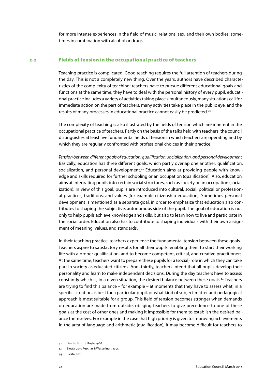for more intense experiences in the field of music, relations, sex, and their own bodies, sometimes in combination with alcohol or drugs.

#### 2.2 Fields of tension in the occupational practice of teachers

Teaching practice is complicated. Good teaching requires the full attention of teachers during the day. This is not a completely new thing. Over the years, authors have described characteristics of the complexity of teaching: teachers have to pursue different educational goals and functions at the same time, they have to deal with the personal history of every pupil, educational practice includes a variety of activities taking place simultaneously, many situations call for immediate action on the part of teachers, many activities take place in the public eye, and the results of many processes in educational practice cannot easily be predicted.42

The complexity of teaching is also illustrated by the fields of tension which are inherent in the occupational practice of teachers. Partly on the basis of the talks held with teachers, the council distinguishes at least five fundamental fields of tension in which teachers are operating and by which they are regularly confronted with professional choices in their practice.

*Tension between different goals of education: qualification, socialization, and personal development* Basically, education has three different goals, which partly overlap one another: qualification, socialization, and personal development.43 Education aims at providing people with knowledge and skills required for further schooling or an occupation (qualification). Also, education aims at integrating pupils into certain social structures, such as society or an occupation (socialization). In view of this goal, pupils are introduced into cultural, social, political or professional practices, traditions, and values (for example citizenship education). Sometimes personal development is mentioned as a separate goal, in order to emphasize that education also contributes to shaping the subjective, autonomous side of the pupil. The goal of education is not only to help pupils achieve knowledge and skills, but also to learn how to live and participate in the social order. Education also has to contribute to shaping individuals with their own assignment of meaning, values, and standards.

In their teaching practice, teachers experience the fundamental tension between these goals. Teachers aspire to satisfactory results for all their pupils, enabling them to start their working life with a proper qualification, and to become competent, critical, and creative practitioners. At the same time, teachers want to prepare these pupils for a (social) role in which they can take part in society as educated citizens. And, thirdly, teachers intend that all pupils develop their personality and learn to make independent decisions. During the day teachers have to assess constantly which is, in a given situation, the desired balance between these goals.<sup>44</sup> Teachers are trying to find this balance – for example – at moments that they have to assess what, in a specific situation, is best for a particular pupil, or what kind of subject matter and pedagogical approach is most suitable for a group. This field of tension becomes stronger when demands on education are made from outside, obliging teachers to give precedence to one of these goals at the cost of other ones and making it impossible for them to establish the desired balance themselves. For example in the case that high priority is given to improving achievements in the area of language and arithmetic (qualification), it may become difficult for teachers to

42 Den Brok, 2011; Doyle, 1986.

<sup>43</sup> Biesta, 2011; Peschar & Wesselingh, 1995.

<sup>44</sup> Biesta, 2011.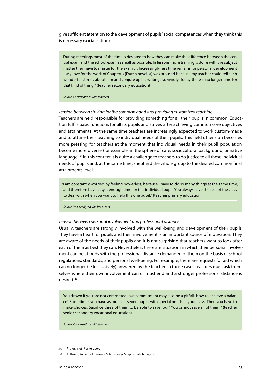give sufficient attention to the development of pupils' social competences when they think this is necessary (socialization).

"During meetings most of the time is devoted to how they can make the difference between the central exam and the school exam as small as possible. In lessons more training is done with the subject matter they have to master for the exam … Increasingly less time remains for personal development … My love for the work of Couperus [Dutch novelist] was aroused because my teacher could tell such wonderful stories about him and conjure up his writings so vividly. Today there is no longer time for that kind of thing." (teacher secondary education)

*Source: Conversations with teachers.*

### *Tension between striving for the common good and providing customized teaching*

Teachers are held responsible for providing something for all their pupils in common. Education fulfils basic functions for all its pupils and strives after achieving common core objectives and attainments. At the same time teachers are increasingly expected to work custom-made and to attune their teaching to individual needs of their pupils. This field of tension becomes more pressing for teachers at the moment that individual needs in their pupil population become more diverse (for example, in the sphere of care, sociocultural background, or native language).45 In this context it is quite a challenge to teachers to do justice to all these individual needs of pupils and, at the same time, shepherd the whole group to the desired common final attainments level.

"I am constantly worried by feeling powerless, because I have to do so many things at the same time, and therefore haven't got enough time for this individual pupil. You always have the rest of the class to deal with when you want to help this one pupil." (teacher primary education)

*Source: Van der Rijst & Van Veen, 2013.*

*Tension between personal involvement and professional distance*

Usually, teachers are strongly involved with the well-being and development of their pupils. They have a heart for pupils and their involvement is an important source of motivation. They are aware of the needs of their pupils and it is not surprising that teachers want to look after each of them as best they can. Nevertheless there are situations in which their personal involvement can be at odds with the professional distance demanded of them on the basis of school regulations, standards, and personal well-being. For example, there are requests for aid which can no longer be (exclusively) answered by the teacher. In those cases teachers must ask themselves where their own involvement can or must end and a stronger professional distance is desired.46

"You drown if you are not committed, but commitment may also be a pitfall. How to achieve a balance? Sometimes you have as much as seven pupils with special needs in your class. Then you have to make choices. Sacrifice three of them to be able to save four? You cannot save all of them." (teacher senior secondary vocational education)

*Source: Conversations with teachers.*

<sup>45</sup> Artiles, 1998; Ponte, 2003.

<sup>46</sup> Aultman, Williams-Johnson & Schutz, 2009; Shapira-Lishchinsky, 2011.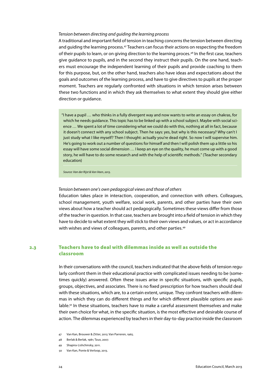#### *Tension between directing and guiding the learning process*

A traditional and important field of tension in teaching concerns the tension between directing and guiding the learning process.<sup>47</sup> Teachers can focus their actions on respecting the freedom of their pupils to learn, or on giving direction to the learning proces.<sup>48</sup> In the first case, teachers give guidance to pupils, and in the second they instruct their pupils. On the one hand, teachers must encourage the independent learning of their pupils and provide coaching to them for this purpose, but, on the other hand, teachers also have ideas and expectations about the goals and outcomes of the learning process, and have to give directives to pupils at the proper moment. Teachers are regularly confronted with situations in which tension arises between these two functions and in which they ask themselves to what extent they should give either direction or guidance.

"I have a pupil … who thinks in a fully divergent way and now wants to write an essay on chakras, for which he needs guidance. This topic has to be linked up with a school subject. Maybe with social science … We spent a lot of time considering what we could do with this, nothing at all in fact, because it doesn't connect with any school subject. Then he says: yes, but why is this necessary? Why can't I just study what I like myself? Then I thought: actually you're dead right. So now I will supervise him. He's going to work out a number of questions for himself and then I will polish them up a little so his essay will have some social dimension … I keep an eye on the quality, he must come up with a good story, he will have to do some research and with the help of scientific methods." (Teacher secondary education)

*Source: Van der Rijst & Van Veen, 2013.*

#### *Tension between one's own pedagogical views and those of others*

Education takes place in interaction, cooperation, and connection with others. Colleagues, school management, youth welfare, social work, parents, and other parties have their own views about how a teacher should act pedagogically. Sometimes these views differ from those of the teacher in question. In that case, teachers are brought into a field of tension in which they have to decide to what extent they will stick to their own views and values, or act in accordance with wishes and views of colleagues, parents, and other parties.<sup>49</sup>

# 2.3 Teachers have to deal with dilemmas inside as well as outside the classroom

In their conversations with the council, teachers indicated that the above fields of tension regularly confront them in their educational practice with complicated issues needing to be (sometimes quickly) answered. Often these issues arise in specific situations, with specific pupils, groups, objectives, and associates. There is no fixed prescription for how teachers should deal with these situations, which are, to a certain extent, unique. They confront teachers with dilemmas in which they can do different things and for which different plausible options are available.<sup>50</sup> In these situations, teachers have to make a careful assessment themselves and make their own choice for what, in the specific situation, is the most effective and desirable course of action. The dilemmas experienced by teachers in their day-to-day practice inside the classroom

- 47 Van Kan, Brouwer & Zitter, 2012; Van Parreren, 1965.
- 48 Berlak & Berlak, 1981; Tzuo, 2007.
- 49 Shapira-Lishchinsky, 2011.
- 50 Van Kan, Ponte & Verloop, 2013.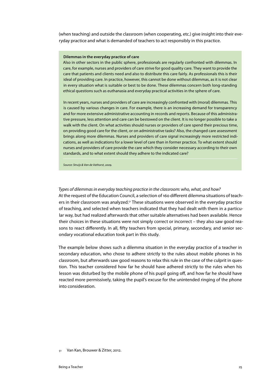(when teaching) and outside the classroom (when cooperating, etc.) give insight into their everyday practice and what is demanded of teachers to act responsibly in this practice.

#### **Dilemmas in the everyday practice of care**

Also in other sectors in the public sphere, professionals are regularly confronted with dilemmas. In care, for example, nurses and providers of care strive for good quality care. They want to provide the care that patients and clients need and also to distribute this care fairly. As professionals this is their ideal of providing care. In practice, however, this cannot be done without dilemmas, as it is not clear in every situation what is suitable or best to be done. These dilemmas concern both long-standing ethical questions such as euthanasia and everyday practical activities in the sphere of care.

In recent years, nurses and providers of care are increasingly confronted with (moral) dilemmas. This is caused by various changes in care. For example, there is an increasing demand for transparency and for more extensive administrative accounting in records and reports. Because of this administrative pressure, less attention and care can be bestowed on the client. It is no longer possible to take a walk with the client. On what activities should nurses or providers of care spend their precious time, on providing good care for the client, or on administrative tasks? Also, the changed care assessment brings along more dilemmas. Nurses and providers of care signal increasingly more restricted indications, as well as indications for a lower level of care than in former practice. To what extent should nurses and providers of care provide the care which they consider necessary according to their own standards, and to what extent should they adhere to the indicated care?

*Source: Struijs & Van de Vathorst, 2009.*

#### *Types of dilemmas in everyday teaching practice in the classroom: who, what, and how?*

At the request of the Education Council, a selection of 160 different dilemma situations of teachers in their classroom was analyzed.<sup>51</sup> These situations were observed in the everyday practice of teaching, and selected when teachers indicated that they had dealt with them in a particular way, but had realized afterwards that other suitable alternatives had been available. Hence their choices in these situations were not simply correct or incorrect – they also saw good reasons to react differently. In all, fifty teachers from special, primary, secondary, and senior secondary vocational education took part in this study.

The example below shows such a dilemma situation in the everyday practice of a teacher in secondary education, who chose to adhere strictly to the rules about mobile phones in his classroom, but afterwards saw good reasons to relax this rule in the case of the culprit in question. This teacher considered how far he should have adhered strictly to the rules when his lesson was disturbed by the mobile phone of his pupil going off, and how far he should have reacted more permissively, taking the pupil's excuse for the unintended ringing of the phone into consideration.

51 Van Kan, Brouwer & Zitter, 2012.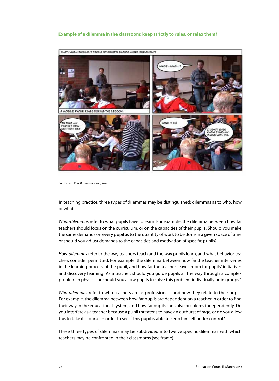#### **Example of a dilemma in the classroom: keep strictly to rules, or relax them?**



*Source: Van Kan, Brouwer & Zitter, 2012.*

In teaching practice, three types of dilemmas may be distinguished: dilemmas as to who, how or what.

*What-dilemmas* refer to what pupils have to learn. For example, the dilemma between how far teachers should focus on the curriculum, or on the capacities of their pupils. Should you make the same demands on every pupil as to the quantity of work to be done in a given space of time, or should you adjust demands to the capacities and motivation of specific pupils?

*How-dilemmas* refer to the way teachers teach and the way pupils learn, and what behavior teachers consider permitted. For example, the dilemma between how far the teacher intervenes in the learning process of the pupil, and how far the teacher leaves room for pupils' initiatives and discovery learning. As a teacher, should you guide pupils all the way through a complex problem in physics, or should you allow pupils to solve this problem individually or in groups?

*Who-dilemmas* refer to who teachers are as professionals, and how they relate to their pupils. For example, the dilemma between how far pupils are dependent on a teacher in order to find their way in the educational system, and how far pupils can solve problems independently. Do you interfere as a teacher because a pupil threatens to have an outburst of rage, or do you allow this to take its course in order to see if this pupil is able to keep himself under control?

These three types of dilemmas may be subdivided into twelve specific dilemmas with which teachers may be confronted in their classrooms (see frame).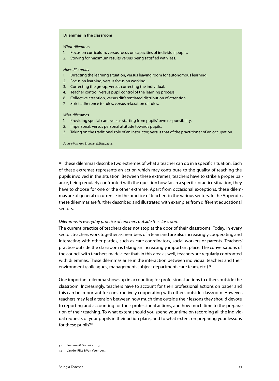### **Dilemmas in the classroom**

#### *What-dilemmas*

- 1. Focus on curriculum, versus focus on capacities of individual pupils.
- 2. Striving for maximum results versus being satisfied with less.

#### *How-dilemmas*

- 1. Directing the learning situation, versus leaving room for autonomous learning.
- 2. Focus on learning, versus focus on working.
- 3. Correcting the group, versus correcting the individual.
- 4. Teacher control, versus pupil control of the learning process.
- 6. Collective attention, versus differentiated distribution of attention.
- 7. Strict adherence to rules, versus relaxation of rules.

#### *Who-dilemmas*

- 1. Providing special care, versus starting from pupils' own responsibility.
- 2. Impersonal, versus personal attitude towards pupils.
- 3. Taking on the traditional role of an instructor, versus that of the practitioner of an occupation.

*Source: Van Kan, Brouwer & Zitter, 2012.*

All these dilemmas describe two extremes of what a teacher can do in a specific situation. Each of these extremes represents an action which may contribute to the quality of teaching the pupils involved in the situation. Between these extremes, teachers have to strike a proper balance, being regularly confronted with the question how far, in a specific practice situation, they have to choose for one or the other extreme. Apart from occasional exceptions, these dilemmas are of general occurrence in the practice of teachers in the various sectors. In the Appendix, these dilemmas are further described and illustrated with examples from different educational sectors.

#### *Dilemmas in everyday practice of teachers outside the classroom*

The current practice of teachers does not stop at the door of their classrooms. Today, in every sector, teachers work together as members of a team and are also increasingly cooperating and interacting with other parties, such as care coordinators, social workers or parents. Teachers' practice outside the classroom is taking an increasingly important place. The conversations of the council with teachers made clear that, in this area as well, teachers are regularly confronted with dilemmas. These dilemmas arise in the interaction between individual teachers and their environment (colleagues, management, subject department, care team, etc.).<sup>52</sup>

One important dilemma shows up in accounting for professional actions to others outside the classroom. Increasingly, teachers have to account for their professional actions on paper and this can be important for constructively cooperating with others outside classroom. However, teachers may feel a tension between how much time outside their lessons they should devote to reporting and accounting for their professional actions, and how much time to the preparation of their teaching. To what extent should you spend your time on recording all the individual requests of your pupils in their action plans, and to what extent on preparing your lessons for these pupils?<sup>53</sup>

- 52 Fransson & Grannäs, 2013.
- 53 Van der Rijst & Van Veen, 2013.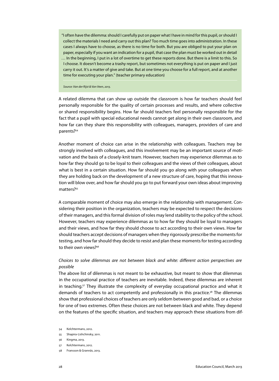"I often have the dilemma: should I carefully put on paper what I have in mind for this pupil, or should I collect the materials I need and carry out this plan? Too much time goes into administration. In these cases I always have to choose, as there is no time for both. But you are obliged to put your plan on paper, especially if you want an indication for a pupil, that case the plan must be worked out in detail … In the beginning, I put in a lot of overtime to get these reports done. But there is a limit to this. So I choose. It doesn't become a trashy report, but sometimes not everything is put on paper and I just carry it out. It's a matter of give and take. But at one time you choose for a full report, and at another time for executing your plan." (teacher primary education)

*Source: Van der Rijst & Van Veen, 2013.*

A related dilemma that can show up outside the classroom is how far teachers should feel personally responsible for the quality of certain processes and results, and where collective or shared responsibility begins. How far should teachers feel personally responsible for the fact that a pupil with special educational needs cannot get along in their own classroom, and how far can they share this responsibility with colleagues, managers, providers of care and parents?54

Another moment of choice can arise in the relationship with colleagues. Teachers may be strongly involved with colleagues, and this involvement may be an important source of motivation and the basis of a closely-knit team. However, teachers may experience dilemmas as to how far they should go to be loyal to their colleagues and the views of their colleagues, about what is best in a certain situation. How far should you go along with your colleagues when they are holding back on the development of a new structure of care, hoping that this innovation will blow over, and how far should you go to put forward your own ideas about improving matters?<sup>55</sup>

A comparable moment of choice may also emerge in the relationship with management. Considering their position in the organization, teachers may be expected to respect the decisions of their managers, and this formal division of roles may lend stability to the policy of the school. However, teachers may experience dilemmas as to how far they should be loyal to managers and their views, and how far they should choose to act according to their own views. How far should teachers accept decisions of managers when they rigorously prescribe the moments for testing, and how far should they decide to resist and plan these moments for testing according to their own views?<sup>56</sup>

# *Choices to solve dilemmas are not between black and white: different action perspectives are possible*

The above list of dilemmas is not meant to be exhaustive, but meant to show that dilemmas in the occupational practice of teachers are inevitable. Indeed, these dilemmas are inherent in teaching.<sup>57</sup> They illustrate the complexity of everyday occupational practice and what it demands of teachers to act competently and professionally in this practice.<sup>58</sup> The dilemmas show that professional choices of teachers are only seldom between good and bad, or a choice for one of two extremes. Often these choices are not between black and white. They depend on the features of the specific situation, and teachers may approach these situations from dif-

- 54 Kelchtermans, 2012.
- 55 Shapira-Lishchinsky, 2011.
- 56 Kingma, 2013.
- 57 Kelchtermans, 2012.
- 58 Fransson & Grannäs, 2013.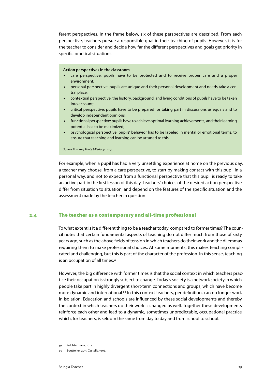ferent perspectives. In the frame below, six of these perspectives are described. From each perspective, teachers pursue a responsible goal in their teaching of pupils. However, it is for the teacher to consider and decide how far the different perspectives and goals get priority in specific practical situations.

#### **Action perspectives in the classroom**

- care perspective: pupils have to be protected and to receive proper care and a proper environment;
- • personal perspective: pupils are unique and their personal development and needs take a central place;
- • contextual perspective: the history, background, and living conditions of pupils have to be taken into account;
- • critical perspective: pupils have to be prepared for taking part in discussions as equals and to develop independent opinions;
- functional perspective: pupils have to achieve optimal learning achievements, and their learning potential has to be maximized;
- • psychological perspective: pupils' behavior has to be labeled in mental or emotional terms, to ensure that teaching and learning can be attuned to this..

*Source: Van Kan, Ponte & Verloop, 2013.*

For example, when a pupil has had a very unsettling experience at home on the previous day, a teacher may choose, from a care perspective, to start by making contact with this pupil in a personal way, and not to expect from a functional perspective that this pupil is ready to take an active part in the first lesson of this day. Teachers' choices of the desired action perspective differ from situation to situation, and depend on the features of the specific situation and the assessment made by the teacher in question.

### 2.4 The teacher as a contemporary and all-time professional

To what extent is it a different thing to be a teacher today, compared to former times? The council notes that certain fundamental aspects of teaching do not differ much from those of sixty years ago, such as the above fields of tension in which teachers do their work and the dilemmas requiring them to make professional choices. At some moments, this makes teaching complicated and challenging, but this is part of the character of the profession. In this sense, teaching is an occupation of all times.<sup>59</sup>

However, the big difference with former times is that the social context in which teachers practice their occupation is strongly subject to change. Today's society is a network society in which people take part in highly divergent short-term connections and groups, which have become more dynamic and international.<sup>60</sup> In this context teachers, per definition, can no longer work in isolation. Education and schools are influenced by these social developments and thereby the context in which teachers do their work is changed as well. Together these developments reinforce each other and lead to a dynamic, sometimes unpredictable, occupational practice which, for teachers, is seldom the same from day to day and from school to school.

Kelchtermans, 2012.

<sup>60</sup> Bouttelier, 2011; Castells, 1996.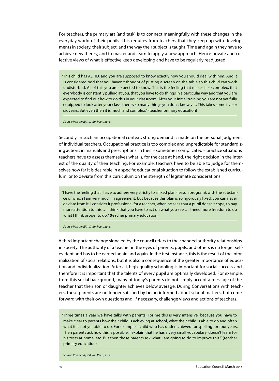For teachers, the primary art (and task) is to connect meaningfully with these changes in the everyday world of their pupils. This requires from teachers that they keep up with developments in society, their subject, and the way their subject is taught. Time and again they have to achieve new theory, and to master and learn to apply a new approach. Hence private and collective views of what is effective keep developing and have to be regularly readjusted.

"This child has ADHD, and you are supposed to know exactly how you should deal with him. And it is considered odd that you haven't thought of putting a screen on the table so this child can work undisturbed. All of this you are expected to know. This is the feeling that makes it so complex, that everybody is constantly pulling at you, that you have to do things in a particular way and that you are expected to find out how to do this in your classroom. After your initial training you are not yet fully equipped to look after your class, there's so many things you don't know yet. This takes some five or six years. But even then it is much and complex." (teacher primary education)

*Source: Van der Rijst & Van Veen, 2013.*

Secondly, in such an occupational context, strong demand is made on the personal judgment of individual teachers. Occupational practice is too complex and unpredictable for standardizing actions in manuals and prescriptions. In their – sometimes complicated – practice situations teachers have to assess themselves what is, for the case at hand, the right decision in the interest of the quality of their teaching. For example, teachers have to be able to judge for themselves how far it is desirable in a specific educational situation to follow the established curriculum, or to deviate from this curriculum on the strength of legitimate considerations.

"I have the feeling that I have to adhere very strictly to a fixed plan (lesson program), with the substance of which I am very much in agreement, but because this plan is so rigorously fixed, you can never deviate from it. I consider it professional for a teacher, when he sees that a pupil doesn't cope, to pay more attention to this … I think that you have to act on what you see … I need more freedom to do what I think proper to do." (teacher primary education)

*Source: Van der Rijst & Van Veen, 2013.*

A third important change signaled by the council refers to the changed authority relationships in society. The authority of a teacher in the eyes of parents, pupils, and others is no longer selfevident and has to be earned again and again. In the first instance, this is the result of the informalization of social relations, but it is also a consequence of the greater importance of education and individualization. After all, high-quality schooling is important for social success and therefore it is important that the talents of every pupil are optimally developed. For example, from this social background, many of today's parents do not simply accept a message of the teacher that their son or daughter achieves below average. During Conversations with teachers, these parents are no longer satisfied by being informed about school matters, but come forward with their own questions and, if necessary, challenge views and actions of teachers.

"Three times a year we have talks with parents. For me this is very intensive, because you have to make clear to parents how their child is achieving at school, what their child is able to do and often what it is not yet able to do. For example a child who has underachieved for spelling for four years. Then parents ask how this is possible. I explain that he has a very small vocabulary, doesn't learn for his tests at home, etc. But then those parents ask what I am going to do to improve this." (teacher primary education)

*Source: Van der Rijst & Van Veen, 2013.*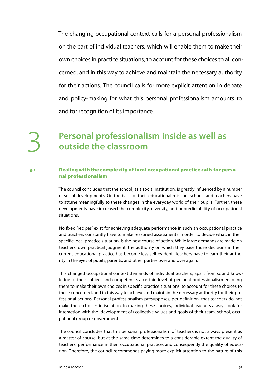The changing occupational context calls for a personal professionalism on the part of individual teachers, which will enable them to make their own choices in practice situations, to account for these choices to all concerned, and in this way to achieve and maintain the necessary authority for their actions. The council calls for more explicit attention in debate and policy-making for what this personal professionalism amounts to and for recognition of its importance.

# 3 **Personal professionalism inside as well as outside the classroom**

# 3.1 Dealing with the complexity of local occupational practice calls for personal professionalism

The council concludes that the school, as a social institution, is greatly influenced by a number of social developments. On the basis of their educational mission, schools and teachers have to attune meaningfully to these changes in the everyday world of their pupils. Further, these developments have increased the complexity, diversity, and unpredictability of occupational situations.

No fixed 'recipes' exist for achieving adequate performance in such an occupational practice and teachers constantly have to make reasoned assessments in order to decide what, in their specific local practice situation, is the best course of action. While large demands are made on teachers' own practical judgment, the authority on which they base those decisions in their current educational practice has become less self-evident. Teachers have to earn their authority in the eyes of pupils, parents, and other parties over and over again.

This changed occupational context demands of individual teachers, apart from sound knowledge of their subject and competence, a certain level of personal professionalism enabling them to make their own choices in specific practice situations, to account for these choices to those concerned, and in this way to achieve and maintain the necessary authority for their professional actions. Personal professionalism presupposes, per definition, that teachers do not make these choices in isolation. In making these choices, individual teachers always look for interaction with the (development of) collective values and goals of their team, school, occupational group or government.

The council concludes that this personal professionalism of teachers is not always present as a matter of course, but at the same time determines to a considerable extent the quality of teachers' performance in their occupational practice, and consequently the quality of education. Therefore, the council recommends paying more explicit attention to the nature of this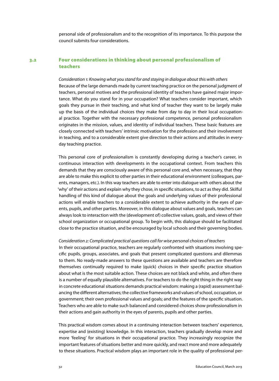personal side of professionalism and to the recognition of its importance. To this purpose the council submits four considerations.

# 3.2 Four considerations in thinking about personal professionalism of teachers

*Consideration 1: Knowing what you stand for and staying in dialogue about this with others* Because of the large demands made by current teaching practice on the personal judgment of teachers, personal motives and the professional identity of teachers have gained major importance. What do you stand for in your occupation? What teachers consider important, which goals they pursue in their teaching, and what kind of teacher they want to be largely make up the basis of the individual choices they make from day to day in their local occupational practice. Together with the necessary professional competence, personal professionalism originates in the mission, values, and identity of individual teachers. These basic features are closely connected with teachers' intrinsic motivation for the profession and their involvement in teaching, and to a considerable extent give direction to their actions and attitudes in everyday teaching practice.

This personal core of professionalism is constantly developing during a teacher's career, in continuous interaction with developments in the occupational context. From teachers this demands that they are consciously aware of this personal core and, when necessary, that they are able to make this explicit to other parties in their educational environment (colleagues, parents, managers, etc.). In this way teachers are able to enter into dialogue with others about the 'why' of their actions and explain why they chose, in specific situations, to act as they did. Skilful handling of this kind of dialogue about the goals and underlying values of their professional actions will enable teachers to a considerable extent to achieve authority in the eyes of parents, pupils, and other parties. Moreover, in this dialogue about values and goals, teachers can always look to interaction with the (development of) collective values, goals, and views of their school organization or occupational group. To begin with, this dialogue should be facilitated close to the practice situation, and be encouraged by local schools and their governing bodies.

#### *Consideration 2: Complicated practical questions call for wise personal choices of teachers*

In their occupational practice, teachers are regularly confronted with situations involving specific pupils, groups, associates, and goals that present complicated questions and dilemmas to them. No ready-made answers to these questions are available and teachers are therefore themselves continually required to make (quick) choices in their specific practice situation about what is the most suitable action. These choices are not black and white, and often there is a number of equally plausible alternatives. For teachers to do the right thing in the right way in concrete educational situations demands practical wisdom: making a (rapid) assessment balancing the different alternatives; the collective frameworks and values of school, occupation, or government; their own professional values and goals; and the features of the specific situation. Teachers who are able to make such balanced and considered choices show professionalism in their actions and gain authority in the eyes of parents, pupils and other parties.

This practical wisdom comes about in a continuing interaction between teachers' experience, expertise and (existing) knowledge. In this interaction, teachers gradually develop more and more 'feeling' for situations in their occupational practice. They increasingly recognize the important features of situations better and more quickly, and react more and more adequately to these situations. Practical wisdom plays an important role in the quality of professional per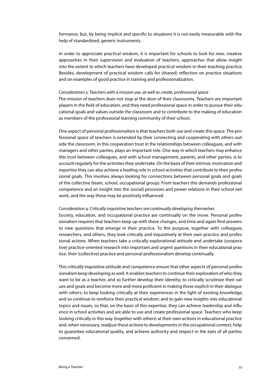formance, but, by being implicit and specific to situations it is not easily measurable with the help of standardized, generic instruments.

In order to appreciate practical wisdom, it is important for schools to look for new, creative approaches in their supervision and evaluation of teachers, approaches that allow insight into the extent to which teachers have developed practical wisdom in their teaching practice. Besides, development of practical wisdom calls for (shared) reflection on practice situations and on examples of good practice in training and professionalization.

#### *Consideration 3: Teachers with a mission use, as well as create, professional space*

The mission of teachers does not stop at the door of their classrooms. Teachers are important players in the field of education, and they need professional space in order to pursue their educational goals and values outside the classroom and to contribute to the making of education as members of the professional learning community of their school.

One aspect of personal professionalism is that teachers both use and create this space. The professional space of teachers is extended by their connecting and cooperating with others outside the classroom. In this cooperation trust in the relationships between colleagues, and with managers and other parties, plays an important role. One way in which teachers may enhance this trust between colleagues, and with school management, parents, and other parties, is to account regularly for the activities they undertake. On the basis of their intrinsic motivation and expertise they can also achieve a leading role in school activities that contribute to their professional goals. This involves always looking for connections between personal goals and goals of the collective (team, school, occupational group). From teachers this demands professional competence and an insight into the (social) processes and power relations in their school network, and the way these may be positively influenced.

#### *Consideration 4: Critically inquisitive teachers are continually developing themselves*

Society, education, and occupational practice are continually on the move. Personal professionalism requires that teachers keep up with these changes, and time and again find answers to new questions that emerge in their practice. To this purpose, together with colleagues, researchers, and others, they look critically and inquisitively at their own practice and professional actions. When teachers take a critically explorational attitude and undertake (cooperative) practice-oriented research into important and urgent questions in their educational practice, their (collective) practice and personal professionalism develop continually.

This critically inquisitive attitude and competence ensure that other aspects of personal professionalism keep developing as well. It enables teachers to continue their exploration of who they want to be as a teacher, and so further develop their identity; to critically scrutinize their values and goals and become more and more proficient in making these explicit in their dialogue with others; to keep looking critically at their experiences in the light of existing knowledge, and so continue to reinforce their practical wisdom; and to gain new insights into educational topics and issues, so that, on the basis of this expertise, they can achieve leadership and influence in school activities and are able to use and create professional space. Teachers who keep looking critically in this way (together with others) at their own actions in educational practice and, when necessary, readjust these actions to developments in the occupational context, help to guarantee educational quality, and achieve authority and respect in the eyes of all parties concerned.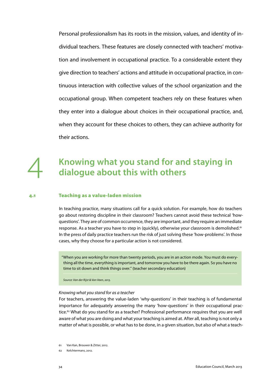Personal professionalism has its roots in the mission, values, and identity of individual teachers. These features are closely connected with teachers' motivation and involvement in occupational practice. To a considerable extent they give direction to teachers' actions and attitude in occupational practice, in continuous interaction with collective values of the school organization and the occupational group. When competent teachers rely on these features when they enter into a dialogue about choices in their occupational practice, and, when they account for these choices to others, they can achieve authority for their actions.

# 4 **Knowing what you stand for and staying in dialogue about this with others**

### 4.1 Teaching as a value-laden mission

In teaching practice, many situations call for a quick solution. For example, how do teachers go about restoring discipline in their classroom? Teachers cannot avoid these technical 'howquestions'. They are of common occurrence, they are important, and they require an immediate response. As a teacher you have to step in (quickly), otherwise your classroom is demolished.<sup>61</sup> In the press of daily practice teachers run the risk of just solving these 'how-problems'. In those cases, why they choose for a particular action is not considered.

"When you are working for more than twenty periods, you are in an action mode. You must do everything all the time, everything is important, and tomorrow you have to be there again. So you have no time to sit down and think things over." (teacher secondary education)

*Source: Van der Rijst & Van Veen, 2013.*

#### *Knowing what you stand for as a teacher*

For teachers, answering the value-laden 'why-questions' in their teaching is of fundamental importance for adequately answering the many 'how-questions' in their occupational practice.62 What do you stand for as a teacher? Professional performance requires that you are well aware of what you are doing and what your teaching is aimed at. After all, teaching is not only a matter of what is possible, or what has to be done, in a given situation, but also of what a teach-

61 Van Kan, Brouwer & Zitter, 2012.

62 Kelchtermans, 2012.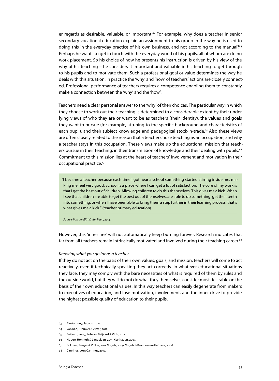er regards as desirable, valuable, or important.<sup>63</sup> For example, why does a teacher in senior secondary vocational education explain an assignment to his group in the way he is used to doing this in the everyday practice of his own business, and not according to the manual?<sup>64</sup> Perhaps he wants to get in touch with the everyday world of his pupils, all of whom are doing work placement. So his choice of how he presents his instruction is driven by his view of the why of his teaching – he considers it important and valuable in his teaching to get through to his pupils and to motivate them. Such a professional goal or value determines the way he deals with this situation. In practice the 'why' and 'how' of teachers' actions are closely connected. Professional performance of teachers requires a competence enabling them to constantly make a connection between the 'why' and the 'how'.

Teachers need a clear personal answer to the 'why' of their choices. The particular way in which they choose to work out their teaching is determined to a considerable extent by their underlying views of who they are or want to be as teachers (their identity), the values and goals they want to pursue (for example, attuning to the specific background and characteristics of each pupil), and their subject knowledge and pedagogical stock-in-trade.<sup>65</sup> Also these views are often closely related to the reason that a teacher chose teaching as an occupation, and why a teacher stays in this occupation. These views make up the educational mission that teachers pursue in their teaching: in their transmission of knowledge and their dealing with pupils.<sup>66</sup> Commitment to this mission lies at the heart of teachers' involvement and motivation in their occupational practice.<sup>67</sup>

"I became a teacher because each time I got near a school something started stirring inside me, making me feel very good. School is a place where I can get a lot of satisfaction. The core of my work is that I get the best out of children. Allowing children to do this themselves. This gives me a kick. When I see that children are able to get the best out of themselves, are able to do something, get their teeth into something, or when I have been able to bring them a step further in their learning process, that's what gives me a kick." (teacher primary education)

*Source: Van der Rijst & Van Veen, 2013.*

However, this 'inner fire' will not automatically keep burning forever. Research indicates that far from all teachers remain intrinsically motivated and involved during their teaching career.<sup>68</sup>

#### *Knowing what you go for as a teacher*

If they do not act on the basis of their own values, goals, and mission, teachers will come to act reactively, even if technically speaking they act correctly. In whatever educational situations they face, they may comply with the bare necessities of what is required of them by rules and the outside world, but they will do not do what they themselves consider most desirable on the basis of their own educational values. In this way teachers can easily degenerate from makers to executives of education, and lose motivation, involvement, and the inner drive to provide the highest possible quality of education to their pupils.

- 64 Van Kan, Brouwer & Zitter, 2012.
- 65 Beijaard, 2009; Rohaan, Beijaard & Vink, 2012.
- 66 Hooge, Honingh & Langelaan, 2011; Korthagen, 2004.
- 67 Bokdam, Berger & Volker, 2011; Vogels, 2009; Vogels & Bronneman-Helmers, 2006.
- 68 Canrinus, 2011; Canrinus, 2012.

<sup>63</sup> Biesta, 2009; Jacobs, 2010.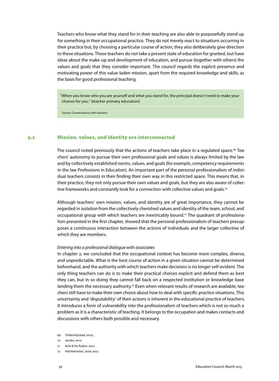Teachers who know what they stand for in their teaching are also able to purposefully stand up for something in their occupational practice. They do not merely react to situations occurring in their practice but, by choosing a particular course of action, they also deliberately give direction to these situations. These teachers do not take a present state of education for granted, but have ideas about the make-up and development of education, and pursue (together with others) the values and goals that they consider important. The council regards the explicit presence and motivating power of this value-laden mission, apart from the required knowledge and skills, as the basis for good professional teaching.

"When you know who you are yourself and what you stand for, the principal doesn't need to make your choices for you." (teacher primary education)

*Source: Conversations with teachers*

# 4.2 Mission, values, and identity are interconnected

The council noted previously that the actions of teachers take place in a regulated space.<sup>69</sup> Teachers' autonomy to pursue their own professional goals and values is always limited by the law and by collectively established norms, values, and goals (for example, competency requirements in the law Professions in Education). An important part of the personal professionalism of individual teachers consists in their finding their own way in this restricted space. This means that, in their practice, they not only pursue their own values and goals, but they are also aware of collective frameworks and constantly look for a connection with collective values and goals.<sup>70</sup>

Although teachers' own mission, values, and identity are of great importance, they cannot be regarded in isolation from the collectively cherished values and identity of the team, school, and occupational group with which teachers are inextricably bound.<sup>71</sup> The quadrant of professionalism presented in the first chapter, showed that the personal professionalism of teachers presupposes a continuous interaction between the actions of individuals and the larger collective of which they are members.

#### *Entering into a professional dialogue with associates*

In chapter 2, we concluded that the occupational context has become more complex, diverse, and unpredictable. What is the best course of action in a given situation cannot be determined beforehand, and the authority with which teachers make decisions is no longer self-evident. The only thing teachers can do is to make their practical choices explicit and defend them as best they can, but in so doing they cannot fall back on a respected institution or knowledge base lending them the necessary authority.<sup>72</sup> Even when relevant results of research are available, teachers still have to make their own choice about how to deal with specific practice situations. This uncertainty and 'disputability' of their actions is inherent in the educational practice of teachers. It introduces a form of vulnerability into the professionalism of teachers which is not so much a problem as it is a characteristic of teaching. It belongs to the occupation and makes contacts and discussions with others both possible and necessary.

- 69 Onderwijsraad, 2012c.
- 70 Jacobs, 2010.
- 71 Kole & De Ruijter, 2007.
- 72 Kelchtermans, 2009; 2012.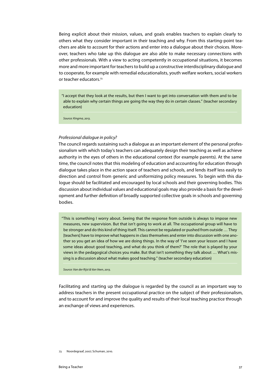Being explicit about their mission, values, and goals enables teachers to explain clearly to others what they consider important in their teaching and why. From this starting-point teachers are able to account for their actions and enter into a dialogue about their choices. Moreover, teachers who take up this dialogue are also able to make necessary connections with other professionals. With a view to acting competently in occupational situations, it becomes more and more important for teachers to build up a constructive interdisciplinary dialogue and to cooperate, for example with remedial educationalists, youth welfare workers, social workers or teacher educators.73

"I accept that they look at the results, but then I want to get into conversation with them and to be able to explain why certain things are going the way they do in certain classes." (teacher secondary education)

*Source: Kingma, 2013.*

#### *Professional dialogue in policy?*

The council regards sustaining such a dialogue as an important element of the personal professionalism with which today's teachers can adequately design their teaching as well as achieve authority in the eyes of others in the educational context (for example parents). At the same time, the council notes that this modeling of education and accounting for education through dialogue takes place in the action space of teachers and schools, and lends itself less easily to direction and control from generic and uniformizing policy measures. To begin with this dialogue should be facilitated and encouraged by local schools and their governing bodies. This discussion about individual values and educational goals may also provide a basis for the development and further definition of broadly supported collective goals in schools and governing bodies.

"This is something I worry about. Seeing that the response from outside is always to impose new measures, new supervision. But that isn't going to work at all. The occupational group will have to be stronger and do this kind of thing itself. This cannot be regulated or pushed from outside … They [teachers] have to improve what happens in class themselves and enter into discussion with one another so you get an idea of how we are doing things. In the way of 'I've seen your lesson and I have some ideas about good teaching, and what do you think of them?' The role that is played by your views in the pedagogical choices you make. But that isn't something they talk about … What's missing is a discussion about what makes good teaching." (teacher secondary education)

*Source: Van der Rijst & Van Veen, 2013.*

Facilitating and starting up the dialogue is regarded by the council as an important way to address teachers in the present occupational practice on the subject of their professionalism, and to account for and improve the quality and results of their local teaching practice through an exchange of views and experiences.

73 Noordegraaf, 2007; Schuman, 2010.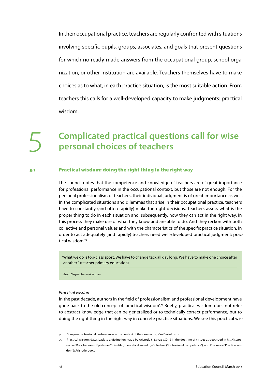In their occupational practice, teachers are regularly confronted with situations involving specific pupils, groups, associates, and goals that present questions for which no ready-made answers from the occupational group, school organization, or other institution are available. Teachers themselves have to make choices as to what, in each practice situation, is the most suitable action. From teachers this calls for a well-developed capacity to make judgments: practical wisdom.

# 5 **Complicated practical questions call for wise personal choices of teachers**

# 5.1 Practical wisdom: doing the right thing in the right way

The council notes that the competence and knowledge of teachers are of great importance for professional performance in the occupational context, but those are not enough. For the personal professionalism of teachers, their individual judgment is of great importance as well. In the complicated situations and dilemmas that arise in their occupational practice, teachers have to constantly (and often rapidly) make the right decisions. Teachers assess what is the proper thing to do in each situation and, subsequently, how they can act in the right way. In this process they make use of what they know and are able to do. And they reckon with both collective and personal values and with the characteristics of the specific practice situation. In order to act adequately (and rapidly) teachers need well-developed practical judgment: practical wisdom.74

"What we do is top-class sport. We have to change tack all day long. We have to make one choice after another." (teacher primary education)

*Bron: Gesprekken met leraren.*

#### *Practical wisdom*

In the past decade, authors in the field of professionalism and professional development have gone back to the old concept of 'practical wisdom'.75 Briefly, practical wisdom does not refer to abstract knowledge that can be generalized or to technically correct performance, but to doing the right thing in the right way in concrete practice situations. We see this practical wis-

<sup>74</sup> Compare professional performance in the context of the care sector, Van Dartel, 2012.

<sup>75</sup> Practical wisdom dates back to a distinction made by Aristotle (384-322 v.Chr.) in the doctrine of virtues as described in his *Nicomachean Ethics*, between: Episteme ('Scientific, theoretical knowldge'); Techne ('Professional competence'), and Phronesis ('Practical wisdom'); Aristotle, 2005.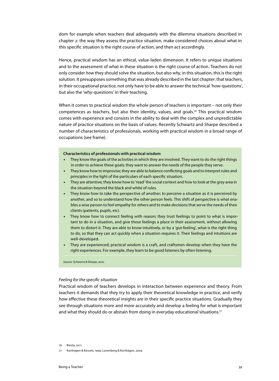dom for example when teachers deal adequately with the dilemma situations described in chapter 2: the way they assess the practice situation, make considered choices about what in this specific situation is the right course of action, and then act accordingly.

Hence, practical wisdom has an ethical, value-laden dimension. It refers to unique situations and to the assessment of what in these situation is the right course of action. Teachers do not only consider *how* they should solve the situation, but also *why*, in this situation, this is the right solution. It presupposes something that was already described in the last chapter: that teachers, in their occupational practice, not only have to be able to answer the technical 'how-questions', but also the 'why-questions' in their teaching.

When it comes to practical wisdom the whole person of teachers is important – not only their competences as teachers, but also their identity, values, and goals.76 This practical wisdom comes with experience and consists in the ability to deal with the complex and unpredictable nature of practice situations on the basis of values. Recently Schwartz and Sharpe described a number of characteristics of professionals, working with practical wisdom in a broad range of occupations (see frame).

#### **Characteristics of professionals with practical wisdom**

- They know the goals of the activities in which they are involved. They want to do the right things in order to achieve these goals; they want to answer the needs of the people they serve.
- • They know how to improvise; they are able to balance conflicting goals and to interpret rules and principles in the light of the particulars of each specific situation.
- They are attentive; they know how to 'read' the social context and how to look at the grey area in the situation beyond the black and white of rules.
- • They know how to take the perspective of another; to perceive a situation as it is perceived by another, and so to understand how the other person feels. This shift of perspective is what enables a wise person to feel empathy for others and to make decisions that serve the needs of their clients (patients, pupils, etc).
- They know how to connect feeling with reason; they trust feelings to point to what is important to do in a situation, and give these feelings a place in their assessment, without allowing them to distort it. They are able to know intuitively, or by a 'gut-feeling', what is the right thing to do, so that they can act quickly when a situation requires it. Their feelings and intuitions are well-developed.
- They are experienced; practical wisdom is a craft, and craftsmen develop when they have the right experiences. For example, they learn to be good listeners by often listening.

*Source: Schwartz & Sharpe, 2010.*

### *Feeling for the specific situation*

Practical wisdom of teachers develops in interaction between experience and theory. From teachers it demands that they try to apply their theoretical knowledge in practice, and verify how effective these theoretical insights are in their specific practice situations. Gradually they see through situations more and more accurately and develop a feeling for what is important and what they should do or abstain from doing in everyday educational situations.77

76 Biesta, 2011.

<sup>77</sup> Korthagen & Kessels, 1999; Lunenberg & Korthagen, 2009.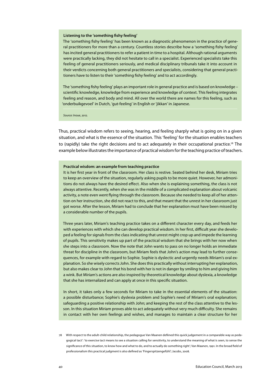#### **Listening to the 'something fishy feeling'**

The 'something fishy feeling' has been known as a diagnostic phenomenon in the practice of general practitioners for more than a century. Countless stories describe how a 'something fishy feeling' has incited general practitioners to refer a patient in time to a hospital. Although rational arguments were practically lacking, they did not hesitate to call in a specialist. Experienced specialists take this feeling of general practitioners seriously, and medical disciplinary tribunals take it into account in their verdicts concerning both general practitioners and specialists, considering that general practitioners have to listen to their 'something fishy feeling' and to act accordingly.

The 'something fishy feeling' plays an important role in general practice and is based on knowledge – scientific knowledge, knowledge from experience and knowledge of context. This feeling integrates feeling and reason, and body and mind. All over the world there are names for this feeling, such as 'onderbuikgevoel' in Dutch, 'gut-feeling' in English or 'jikkan' in Japanese.

*Source: Inoue, 2012.*

Thus, practical wisdom refers to seeing, hearing, and feeling sharply what is going on in a given situation, and what is the essence of the situation. This 'feeling' for the situation enables teachers to (rapidly) take the right decisions and to act adequately in their occupational practice.<sup>78</sup> The example below illustrates the importance of practical wisdom for the teaching practice of teachers.

#### **Practical wisdom: an example from teaching practice**

It is her first year in front of the classroom. Her class is restive. Seated behind her desk, Miriam tries to keep an overview of the situation, regularly asking pupils to be more quiet. However, her admonitions do not always have the desired effect. Also when she is explaining something, the class is not always attentive. Recently, when she was in the middle of a complicated explanation about volcanic activity, a note even went flying through the classroom. Because she needed to keep all of her attention on her instruction, she did not react to this, and that meant that the unrest in her classroom just got worse. After the lesson, Miriam had to conclude that her explanation must have been missed by a considerable number of the pupils.

Three years later, Miriam's teaching practice takes on a different character every day, and feeds her with experiences with which she can develop practical wisdom. In her first, difficult year she developed a feeling for signals from the class indicating that unrest might crop up and impede the learning of pupils. This sensitivity makes up part of the practical wisdom that she brings with her now when she steps into a classroom. Now the note that John wants to pass on no longer holds an immediate threat for discipline in the classroom, but Miriam feels that John's action may lead to further consequences, for example with regard to Sophie. Sophie is dyslectic and urgently needs Miriam's oral explanation. So she wisely corrects John. She does this practically without interrupting her explanation, but also makes clear to John that his bond with her is not in danger by smiling to him and giving him a wink. But Miriam's actions are also inspired by theoretical knowledge about dyslexia, a knowledge that she has internalized and can apply at once in this specific situation.

In short, it takes only a few seconds for Miriam to take in the essential elements of the situation: a possible disturbance; Sophie's dyslexia problem and Sophie's need of Miriam's oral explanation; safeguarding a positive relationship with John; and keeping the rest of the class attentive to the lesson. In this situation Miriam proves able to act adequately without very much difficulty. She remains in contact with her own feelings and wishes, and manages to maintain a clear structure for her

<sup>78</sup> With respect to the adult-child relationship, the pedagogue Van Maanen defiined this quick judgement in a comparable way as pedagogical tact': 'to exercise tact means to see a situation calling for sensitivity, to understand the meaning of what is seen, to sense the significance of this situation, to know how and what to do, and to actually do something right'; Van Maanen, 1991. In the broad field of professionalism this practical judgment is also defined as 'Fingerspitzengefühl'; Jacobs, 2008.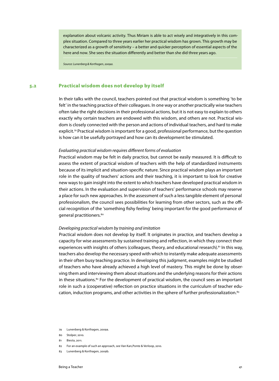explanation about volcanic activity. Thus Miriam is able to act wisely and integratively in this complex situation. Compared to three years earlier her practical wisdom has grown. This growth may be characterized as a growth of sensitivity – a better and quicker perception of essential aspects of the here and now. She sees the situation differently and better than she did three years ago.

*Source: Lunenberg & Korthagen, 2009a.*

# 5.2 Practical wisdom does not develop by itself

In their talks with the council, teachers pointed out that practical wisdom is something 'to be felt' in the teaching practice of their colleagues. In one way or another practically wise teachers often take the right decisions in their professional actions, but it is not easy to explain to others exactly why certain teachers are endowed with this wisdom, and others are not. Practical wisdom is closely connected with the person and actions of individual teachers, and hard to make explicit.79 Practical wisdom is important for a good, professional performance, but the question is how can it be usefully portrayed and how can its development be stimulated.

# *Evaluating practical wisdom requires different forms of evaluation*

Practical wisdom may be felt in daily practice, but cannot be easily measured. It is difficult to assess the extent of practical wisdom of teachers with the help of standardized instruments because of its implicit and situation-specific nature. Since practical wisdom plays an important role in the quality of teachers' actions and their teaching, it is important to look for creative new ways to gain insight into the extent to which teachers have developed practical wisdom in their actions. In the evaluation and supervision of teachers' performance schools may reserve a place for such new approaches. In the assessment of such a less tangible element of personal professionalism, the council sees possibilities for learning from other sectors, such as the official recognition of the 'something fishy feeling' being important for the good performance of general practitioners.<sup>80</sup>

# *Developing practical wisdom by training and imitation*

Practical wisdom does not develop by itself. It originates in practice, and teachers develop a capacity for wise assessments by sustained training and reflection, in which they connect their experiences with insights of others (colleagues, theory, and educational research).<sup>81</sup> In this way, teachers also develop the necessary speed with which to instantly make adequate assessments in their often busy teaching practice. In developing this judgment, examples might be studied of teachers who have already achieved a high level of mastery. This might be done by observing them and interviewing them about situations and the underlying reasons for their actions in these situations.<sup>82</sup> For the development of practical wisdom, the council sees an important role in such a (cooperative) reflection on practice situations in the curriculum of teacher education, induction programs, and other activities in the sphere of further professionalization.<sup>83</sup>

<sup>79</sup> Lunenberg & Korthagen, 2009a.

<sup>80</sup> Stolper, 2010.

<sup>81</sup> Biesta, 2011.

<sup>82</sup> For an example of such an approach, see Van Kan,Ponte & Verloop, 2010.

<sup>83</sup> Lunenberg & Korthagen, 2009b.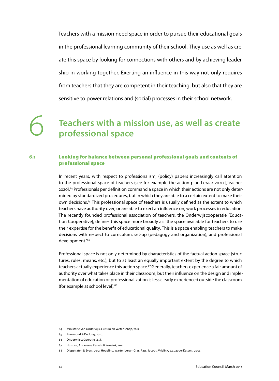Teachers with a mission need space in order to pursue their educational goals in the professional learning community of their school. They use as well as create this space by looking for connections with others and by achieving leadership in working together. Exerting an influence in this way not only requires from teachers that they are competent in their teaching, but also that they are sensitive to power relations and (social) processes in their school network.

# 6 **Teachers with a mission use, as well as create professional space**

# 6.1 Looking for balance between personal professional goals and contexts of professional space

In recent years, with respect to professionalism, (policy) papers increasingly call attention to the professional space of teachers (see for example the action plan Leraar 2020 [Teacher 2020].84 Professionals per definition command a space in which their actions are not only determined by standardized procedures, but in which they are able to a certain extent to make their own decisions.<sup>85</sup> This professional space of teachers is usually defined as the extent to which teachers have authority over, or are able to exert an influence on, work processes in education. The recently founded professional association of teachers, the Onderwijscoöperatie [Education Cooperative], defines this space more broadly as: 'the space available for teachers to use their expertise for the benefit of educational quality. This is a space enabling teachers to make decisions with respect to curriculum, set-up (pedagogy and organization), and professional development.'86

Professional space is not only determined by characteristics of the factual action space (structures, rules, means, etc.), but to at least an equally important extent by the degree to which teachers actually experience this action space.<sup>87</sup> Generally, teachers experience a fair amount of authority over what takes place in their classroom, but their influence on the design and implementation of education or professionalization is less clearly experienced outside the classroom (for example at school level).<sup>88</sup>

- 85 Zuurmond & De Jong, 2010.
- 86 Onderwijscoöperatie (z.j.).
- 87 Hulsbos, Andersen, Kessels & Wassink, 2012.

<sup>84</sup> Ministerie van Onderwijs, Cultuur en Wetenschap, 2011.

<sup>88</sup> Diepstraten & Evers, 2012; Hogeling, Wartenbergh-Cras, Pass, Jacobs, Vrielink, e.a., 2009; Kessels, 2012.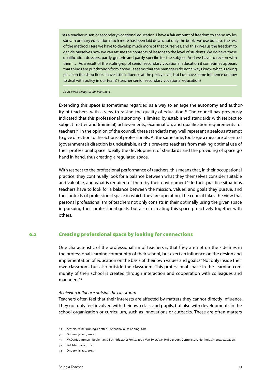"As a teacher in senior secondary vocational education, I have a fair amount of freedom to shape my lessons. In primary education much more has been laid down, not only the books we use but also the rest of the method. Here we have to develop much more of that ourselves, and this gives us the freedom to decide ourselves how we can attune the contents of lessons to the level of students. We do have these qualification dossiers, partly generic and partly specific for the subject. And we have to reckon with them … As a result of the scaling-up of senior secondary vocational education it sometimes appears that things are put through from above. It seems that the managers do not always know what is taking place on the shop floor. I have little influence at the policy level, but I do have some influence on how to deal with policy in our team." (teacher senior secondary vocational education)

*Source: Van der Rijst & Van Veen, 2013.*

Extending this space is sometimes regarded as a way to enlarge the autonomy and authority of teachers, with a view to raising the quality of education. $89$  The council has previously indicated that this professional autonomy is limited by established standards with respect to subject matter and (minimal) achievements, examination, and qualification requirements for teachers.90 In the opinion of the council, these standards may well represent a zealous attempt to give direction to the actions of professionals. At the same time, too large a measure of central (governmental) direction is undesirable, as this prevents teachers from making optimal use of their professional space. Ideally the development of standards and the providing of space go hand in hand, thus creating a regulated space.

With respect to the professional performance of teachers, this means that, in their occupational practice, they continually look for a balance between what they themselves consider suitable and valuable, and what is required of them by their environment.<sup>91</sup> In their practice situations, teachers have to look for a balance between the mission, values, and goals they pursue, and the contexts of professional space in which they are operating. The council takes the view that personal professionalism of teachers not only consists in their optimally using the given space in pursuing their professional goals, but also in creating this space proactively together with others.

# 6.2 Creating professional space by looking for connections

One characteristic of the professionalism of teachers is that they are not on the sidelines in the professional learning community of their school, but exert an influence on the design and implementation of education on the basis of their own values and goals.<sup>92</sup> Not only inside their own classroom, but also outside the classroom. This professional space in the learning community of their school is created through interaction and cooperation with colleagues and managers.93

#### *Achieving influence outside the classroom*

Teachers often feel that their interests are affected by matters they cannot directly influence. They not only feel involved with their own class and pupils, but also with developments in the school organization or curriculum, such as innovations or cutbacks. These are often matters

<sup>89</sup> Kessels, 2012; Bruining, Loeffen, Uytendaal & De Koning, 2012.

<sup>90</sup> Onderwijsraad, 2012c.

<sup>91</sup> McDaniel, Immers, Neeleman & Schmidt, 2010; Ponte, 2003; Van Swet, Van Huijgevoort, Cornelissen, Kienhuis, Smeets, e.a., 2008.

<sup>92</sup> Kelchtermans, 2012.

<sup>93</sup> Onderwijsraad, 2013.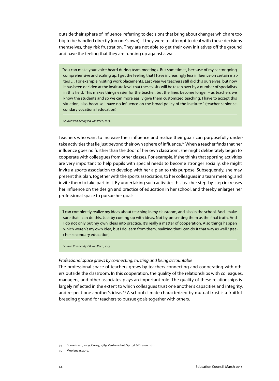outside their sphere of influence, referring to decisions that bring about changes which are too big to be handled directly (on one's own). If they were to attempt to deal with these decisions themselves, they risk frustration. They are not able to get their own initiatives off the ground and have the feeling that they are running up against a wall.

"You can make your voice heard during team meetings. But sometimes, because of my sector going comprehensive and scaling up, I get the feeling that I have increasingly less influence on certain matters … For example, visiting work placements. Last year we teachers still did this ourselves, but now it has been decided at the institute level that these visits will be taken over by a number of specialists in this field. This makes things easier for the teacher, but the lines become longer – as teachers we know the students and so we can more easily give them customized teaching. I have to accept this situation, also because I have no influence on the broad policy of the institute." (teacher senior secondary vocational education)

*Source: Van der Rijst & Van Veen, 2013.*

Teachers who want to increase their influence and realize their goals can purposefully undertake activities that lie just beyond their own sphere of influence.94 When a teacher finds that her influence goes no further than the door of her own classroom, she might deliberately begin to cooperate with colleagues from other classes. For example, if she thinks that sporting activities are very important to help pupils with special needs to become stronger socially, she might invite a sports association to develop with her a plan to this purpose. Subsequently, she may present this plan, together with the sports association, to her colleagues in a team meeting, and invite them to take part in it. By undertaking such activities this teacher step-by-step increases her influence on the design and practice of education in her school, and thereby enlarges her professional space to pursue her goals.

"I can completely realize my ideas about teaching in my classroom, and also in the school. And I make sure that I can do this. Just by coming up with ideas. Not by presenting them as the final truth. And I do not only put my own ideas into practice. It's really a matter of cooperation. Also things happen which weren't my own idea, but I do learn from them, realizing that I can do it that way as well." (teacher secondary education)

*Source: Van der Rijst & Van Veen, 2013.*

#### *Professional space grows by connecting, trusting and being accountable*

The professional space of teachers grows by teachers connecting and cooperating with others outside the classroom. In this cooperation, the quality of the relationships with colleagues, managers, and other associates plays an important role. The quality of these relationships is largely reflected in the extent to which colleagues trust one another's capacities and integrity, and respect one another's ideas.<sup>95</sup> A school climate characterized by mutual trust is a fruitful breeding ground for teachers to pursue goals together with others.

94 Cornelissen, 2009; Covey, 1989; Verdonschot, Spruyt & Dresen, 2011.

95 Moolenaar, 2010.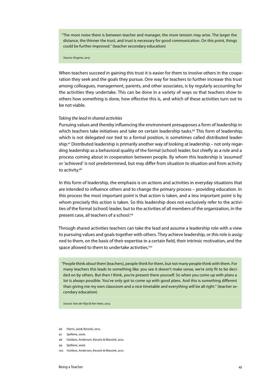"The more noise there is between teacher and manager, the more tension may arise. The larger the distance, the thinner the trust, and trust is necessary for good communication. On this point, things could be further improved." (teacher secondary education)

*Source: Kingma, 2013.*

When teachers succeed in gaining this trust it is easier for them to involve others in the cooperation they seek and the goals they pursue. One way for teachers to further increase this trust among colleagues, management, parents, and other associates, is by regularly accounting for the activities they undertake. This can be done in a variety of ways so that teachers show to others how something is done, how effective this is, and which of these activities turn out to be not viable.

#### *Taking the lead in shared activities*

Pursuing values and thereby influencing the environment presupposes a form of leadership in which teachers take initiatives and take on certain leadership tasks.<sup>96</sup> This form of leadership, which is not delegated nor tied to a formal position, is sometimes called distributed leadership.97 Distributed leadership is primarily another way of looking at leadership – not only regarding leadership as a behavioral quality of the formal (school) leader, but chiefly as a role and a process coming about in cooperation between people. By whom this leadership is 'assumed' or 'achieved' is not predetermined, but may differ from situation to situation and from activity to activity.98

In this form of leadership, the emphasis is on actions and activities in everyday situations that are intended to influence others and to change the primary process – providing education. In this process the most important point is that action is taken, and a less important point is by whom precisely this action is taken. So this leadership does not exclusively refer to the activities of the formal (school) leader, but to the activities of all members of the organization, in the present case, all teachers of a school.99

Through shared activities teachers can take the lead and assume a leadership role with a view to pursuing values and goals together with others. They achieve leadership, or this role is assigned to them, on the basis of their expertise in a certain field, their intrinsic motivation, and the space allowed to them to undertake activities.<sup>100</sup>

"People think *about* them [teachers], people think for them, but not many people think with them. For many teachers this leads to something like: you see it doesn't make sense, we're only fit to be decided on by others. But then I think, you're present there yourself. So when you come up with plans a lot is always possible. You've only got to come up with good plans. And this is something different than giving me my own classroom and a nice timetable and everything will be all right." (teacher secondary education)

*Source: Van der Rijst & Van Veen, 2013.*

- 96 Harris, 2008; Kessels, 2012.
- 97 Spillane, 2006.
- 98 Hulsbos, Andersen, Kessels & Wassink, 2012.
- Spillane, 2006.
- 100 Hulsbos, Andersen, Kessels & Wassink, 2012.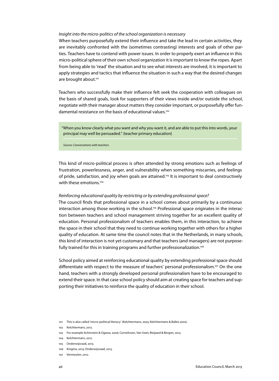#### *Insight into the micro-politics of the school organization is necessary*

When teachers purposefully extend their influence and take the lead in certain activities, they are inevitably confronted with the (sometimes contrasting) interests and goals of other parties. Teachers have to contend with power issues. In order to properly exert an influence in this micro-political sphere of their own school organization it is important to know the ropes. Apart from being able to 'read' the situation and to see what interests are involved, it is important to apply strategies and tactics that influence the situation in such a way that the desired changes are brought about.<sup>101</sup>

Teachers who successfully make their influence felt seek the cooperation with colleagues on the basis of shared goals, look for supporters of their views inside and/or outside the school, negotiate with their manager about matters they consider important, or purposefully offer fundamental resistance on the basis of educational values.102

"When you know clearly what you want and why you want it, and are able to put this into words, your principal may well be persuaded." (teacher primary education)

*Source: Conversations with teachers.*

This kind of micro-political process is often attended by strong emotions such as feelings of frustration, powerlessness, anger, and vulnerability when something miscarries, and feelings of pride, satisfaction, and joy when goals are attained.<sup>103</sup> It is important to deal constructively with these emotions.104

# *Reinforcing educational quality by restricting or by extending professional space?*

The council finds that professional space in a school comes about primarily by a continuous interaction among those working in the school.<sup>105</sup> Professional space originates in the interaction between teachers and school management striving together for an excellent quality of education. Personal professionalism of teachers enables them, in this interaction, to achieve the space in their school that they need to continue working together with others for a higher quality of education. At same time the council notes that in the Netherlands, in many schools, this kind of interaction is not yet customary and that teachers (and managers) are not purposefully trained for this in training programs and further professionalization.<sup>106</sup>

School policy aimed at reinforcing educational quality by extending professional space should differentiate with respect to the measure of teachers' personal professionalism.107 On the one hand, teachers with a strongly developed personal professionalism have to be encouraged to extend their space. In that case school policy should aim at creating space for teachers and supporting their initiatives to reinforce the quality of education in their school.

<sup>101</sup> This is also called 'micro-political literacy' (Kelchtermans, 2005; Kelchtermans & Ballet,2002).

<sup>102</sup> Kelchtermans, 2012.

<sup>103</sup> For example Achinstein & Ogawa, 2006; Cornelissen, Van Swet, Beijaard & Bergen, 2013.

<sup>104</sup> Kelchtermans, 2012.

<sup>105</sup> Onderwijsraad, 2013.

<sup>106</sup> Kingma, 2013; Onderwijsraad, 2013.

<sup>107</sup> Vermeulen, 2012.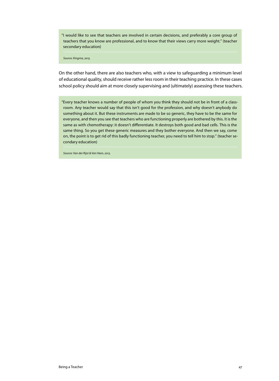"I would like to see that teachers are involved in certain decisions, and preferably a core group of teachers that you know are professional, and to know that their views carry more weight." (teacher secondary education)

*Source: Kingma, 2013.*

On the other hand, there are also teachers who, with a view to safeguarding a minimum level of educational quality, should receive rather less room in their teaching practice. In these cases school policy should aim at more closely supervising and (ultimately) assessing these teachers.

"Every teacher knows a number of people of whom you think they should not be in front of a classroom. Any teacher would say that this isn't good for the profession, and why doesn't anybody do something about it. But these instruments are made to be so generic, they have to be the same for everyone, and then you see that teachers who are functioning properly are bothered by this. It is the same as with chemotherapy: it doesn't differentiate. It destroys both good and bad cells. This is the same thing. So you get these generic measures and they bother everyone. And then we say, come on, the point is to get rid of this badly functioning teacher, you need to tell him to stop." (teacher secondary education)

*Source: Van der Rijst & Van Veen, 2013.*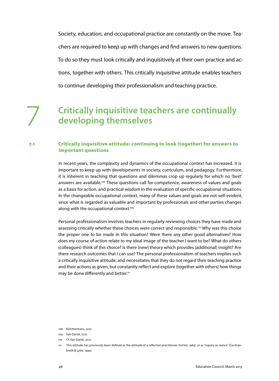Society, education, and occupational practice are constantly on the move. Teachers are required to keep up with changes and find answers to new questions. To do so they must look critically and inquisitively at their own practice and actions, together with others. This critically inquisitive attitude enables teachers to continue developing their professionalism and teaching practice.

# **Critically inquisitive teachers are continually developing themselves**

# 7.1 Critically inquisitive attitude: continuing to look (together) for answers to important questions

In recent years, the complexity and dynamics of the occupational context has increased. It is important to keep up with developments in society, curriculum, and pedagogy. Furthermore, it is inherent in teaching that questions and dilemmas crop up regularly for which no 'best' answers are available.<sup>108</sup> These questions call for competence, awareness of values and goals as a basis for action, and practical wisdom in the evaluation of specific occupational situations. In the changeable occupational context, many of these values and goals are not self-evident, since what is regarded as valuable and important by professionals and other parties changes along with the occupational context.<sup>109</sup>

Personal professionalism involves teachers in regularly reviewing choices they have made and assessing critically whether these choices were correct and responsible.<sup>110</sup> Why was this choice the proper one to be made in this situation? Were there any other good alternatives? How does my course of action relate to my ideal image of the teacher I want to be? What do others (colleagues) think of this choice? Is there (new) theory which provides (additional) insight? Are there research outcomes that I can use? The personal professionalism of teachers implies such a critically inquisitive attitude, and necessitates that they do not regard their teaching practice and their actions as given, but constantly reflect and explore (together with others) how things may be done differently and better.<sup>111</sup>

<sup>108</sup> Kelchtermans, 2012.

<sup>109</sup> Van Dartel, 2012.

<sup>110</sup> Cf. Van Dartel, 2012.

<sup>111</sup> This attitude has previously been defined as the attitude of a reflective practitioner (Schön, 1983), or as 'inquiry as stance' (Cochran-Smith & Lytle, 1999).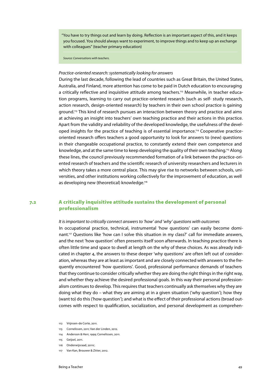"You have to try things out and learn by doing. Reflection is an important aspect of this, and it keeps you focused. You should always want to experiment, to improve things and to keep up an exchange with colleagues" (teacher primary education)

*Source: Conversations with teachers.*

# *Practice-oriented research: systematically looking for answers*

During the last decade, following the lead of countries such as Great Britain, the United States, Australia, and Finland, more attention has come to be paid in Dutch education to encouraging a critically reflective and inquisitive attitude among teachers.<sup>112</sup> Meanwhile, in teacher education programs, learning to carry out practice-oriented research (such as self- study research, action research, design-oriented research) by teachers in their own school practice is gaining ground.113 This kind of research pursues an interaction between theory and practice and aims at achieving an insight into teachers' own teaching practice and their actions in this practice. Apart from the validity and reliability of the developed knowledge, the usefulness of the developed insights for the practice of teaching is of essential importance.114 Cooperative practiceoriented research offers teachers a good opportunity to look for answers to (new) questions in their changeable occupational practice, to constantly extend their own competence and knowledge, and at the same time to keep developing the quality of their own teaching.<sup>115</sup> Along these lines, the council previously recommended formation of a link between the practice-oriented research of teachers and the scientific research of university researchers and lecturers in which theory takes a more central place. This may give rise to networks between schools, universities, and other institutions working collectively for the improvement of education, as well as developing new (theoretical) knowledge.<sup>116</sup>

# 7.2 A critically inquisitive attitude sustains the development of personal professionalism

*It is important to critically connect answers to 'how' and 'why' questions with outcomes* In occupational practice, technical, instrumental 'how questions' can easily become dominant.117 Questions like 'how can I solve this situation in my class?' call for immediate answers, and the next 'how question' often presents itself soon afterwards. In teaching practice there is often little time and space to dwell at length on the why of these choices. As was already indicated in chapter 4, the answers to these deeper 'why questions' are often left out of consideration, whereas they are at least as important and are closely connected with answers to the frequently encountered 'how questions'. Good, professional performance demands of teachers that they continue to consider critically whether they are doing the right things in the right way, and whether they achieve the desired professional goals. In this way their personal professionalism continues to develop. This requires that teachers continually ask themselves why they are doing what they do – what they are aiming at in a given situation ('why question'); how they (want to) do this ('how question'); and what is the effect of their professional actions (broad outcomes with respect to qualification, socialization, and personal development as comprehen-

- 113 Cornelissen, 2011; Van der Linden, 2012.
- 114 Anderson & Herr, 1999; Cornelissen, 2011.
- 115 Geijsel, 2011.
- 116 Onderwijsraad, 2011c.
- 117 Van Kan, Brouwer & Zitter, 2012.

<sup>112</sup> Vrijnsen-de Corte, 2011.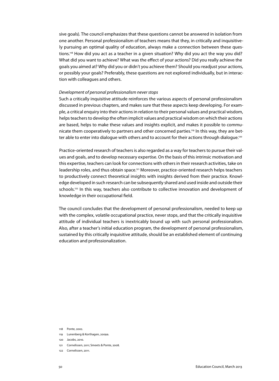sive goals). The council emphasizes that these questions cannot be answered in isolation from one another. Personal professionalism of teachers means that they, in critically and inquisitively pursuing an optimal quality of education, always make a connection between these questions.<sup>118</sup> How did you act as a teacher in a given situation? Why did you act the way you did? What did you want to achieve? What was the effect of your actions? Did you really achieve the goals you aimed at? Why did you or didn't you achieve them? Should you readjust your actions, or possibly your goals? Preferably, these questions are not explored individually, but in interaction with colleagues and others.

#### *Development of personal professionalism never stops*

Such a critically inquisitive attitude reinforces the various aspects of personal professionalism discussed in previous chapters, and makes sure that these aspects keep developing. For example, a critical enquiry into their actions in relation to their personal values and practical wisdom, helps teachers to develop the often implicit values and practical wisdom on which their actions are based, helps to make these values and insights explicit, and makes it possible to communicate them cooperatively to partners and other concerned parties.<sup>119</sup> In this way, they are better able to enter into dialogue with others and to account for their actions through dialogue.<sup>120</sup>

Practice-oriented research of teachers is also regarded as a way for teachers to pursue their values and goals, and to develop necessary expertise. On the basis of this intrinsic motivation and this expertise, teachers can look for connections with others in their research activities, take on leadership roles, and thus obtain space.121 Moreover, practice-oriented research helps teachers to productively connect theoretical insights with insights derived from their practice. Knowledge developed in such research can be subsequently shared and used inside and outside their schools.<sup>122</sup> In this way, teachers also contribute to collective innovation and development of knowledge in their occupational field.

The council concludes that the development of personal professionalism, needed to keep up with the complex, volatile occupational practice, never stops, and that the critically inquisitive attitude of individual teachers is inextricably bound up with such personal professionalism. Also, after a teacher's initial education program, the development of personal professionalism, sustained by this critically inquisitive attitude, should be an established element of continuing education and professionalization.

- 118 Ponte, 2002.
- 119 Lunenberg & Korthagen, 2009a.
- 120 Jacobs, 2010.
- 121 Cornelissen, 2011; Smeets & Ponte, 2008.
- 122 Cornelissen, 2011.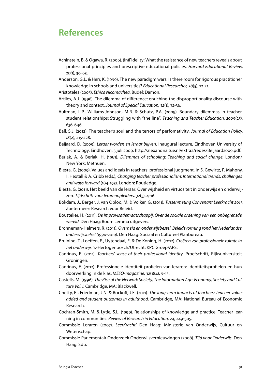# **References**

- Achinstein, B. & Ogawa, R. (2006). (In)Fidelity: What the resistance of new teachers reveals about professional principles and prescriptive educational policies. *Harvard Educational Review, 26*(1), 30-63.
- Anderson, G.L. & Herr, K. (1999). The new paradigm wars: Is there room for rigorous practitioner knowledge in schools and universities? *Educational Researcher, 28*(5), 12-21.
- Aristoteles (2005). *Ethica Nicomachea.* Budel: Damon.
- Artiles, A.J. (1998). The dilemma of difference: enriching the disproportionality discourse with theory and context. *Journal of Special Education, 32*(1), 32-36.
- Aultman, L.P., Williams-Johnson, M.R. & Schutz, P.A. (2009). Boundary dilemmas in teacherstudent relationships: Struggling with "the line". *Teaching and Teacher Education, 2009*(25), 636-646.
- Ball, S.J. (2012). The teacher's soul and the terrors of perfomativity. *Journal of Education Policy, 18*(2), 215-228.
- Beijaard, D. (2009). *Leraar worden en leraar blijven*. Inaugural lecture, Eindhoven University of Technology. Eindhoven, 3 juli 2009. http://alexandria.tue.nl/extra2/redes/Beijaard2009.pdf.
- Berlak, A. & Berlak, H. (1981). *Dilemmas of schooling: Teaching and social change.* London/ New York: Methuen.
- Biesta, G. (2009). Values and ideals in teachers' professional judgment. In S. Gewirtz, P. Mahony, I. Hextall & A. Cribb (eds.), *Changing teacher professionalism: International trends, challenges and ways forward* (184-193). London: Routledge.
- Biesta, G. (2011). Het beeld van de leraar: Over wijsheid en virtuositeit in onderwijs en onderwijzen. *Tijdschrift voor lerarenopleiders, 32*(3), 4-16.
- Bokdam, J., Berger, J. van Oploo, M. & Volker, G. (2011). *Tussenmeting Convenant Leerkracht 2011.* Zoetermeer: Research voor Beleid.
- Bouttelier, H. (2011). *De Improvisatiemaatschappij. Over de sociale ordening van een onbegrensde wereld.* Den Haag: Boom Lemma uitgevers.
- Bronneman-Helmers, R. (2011). *Overheid en onderwijsbestel. Beleidsvorming rond het Nederlandse onderwijsstelsel (1990-2010).* Den Haag: Sociaal en Cultureel Planbureau.
- Bruining, T., Loeffen, E., Uytendaal, E. & De Koning, H. (2012). *Creëren van professionele ruimte in het onderwijs.* 's-Hertogenbosch/Utrecht: KPC Groep/APS.
- Canrinus, E. (2011). *Teachers' sense of their professional identity.* Proefschrift, Rijksuniversiteit Groningen.
- Canrinus, E. (2012). Professionele identiteit profielen van leraren: Identiteitsprofielen en hun doorwerking in de klas. *MESO-magazine, 32*(184), 9-13.
- Castells, M. (1996). *The Rise of the Network Society, The Information Age: Economy, Society and Culture Vol. I.* Cambridge, MA: Blackwell.
- Chetty, R., Friedman, J.N. & Rockoff, J.E. (2011). *The long-term impacts of teachers: Teacher valueadded and student outcomes in adulthood.* Cambridge, MA: National Bureau of Economic Research.
- Cochran-Smith, M. & Lytle, S.L. (1999). Relationships of knowledge and practice: Teacher learning in communities. *Review of Research in Education, 24*, 249-305.
- Commissie Leraren (2007). *LeerKracht!* Den Haag: Ministerie van Onderwijs, Cultuur en Wetenschap.
- Commissie Parlementair Onderzoek Onderwijsvernieuwingen (2008). *Tijd voor Onderwijs.* Den Haag: Sdu.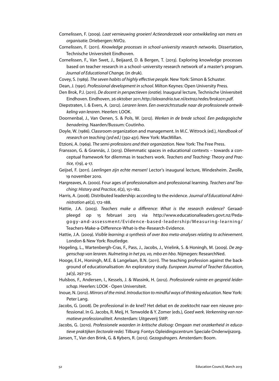- Cornelissen, F. (2009). *Laat vernieuwing groeien! Actieonderzoek voor ontwikkeling van mens en organisatie.* Driebergen: NVO2.
- Cornelissen, F. (2011). *Knowledge processes in school-university research networks.* Dissertation, Technische Universiteit Eindhoven.
- Cornelissen, F., Van Swet, J., Beijaard, D. & Bergen, T. (2013). Exploring knowledge processes based on teacher research in a school–university research network of a master's program. *Journal of Educational Change,* (in druk).
- Covey, S. (1989). *The seven habits of highly effective people.* New York: Simon & Schuster.
- Dean, J. (1991). *Professional development in school.* Milton Keynes: Open University Press.
- Den Brok, P.J. (2011). *De docent in perspectieven (oratie)*. Inaugural lecture, Technische Universiteit Eindhoven. Eindhoven, 26 oktober 2011*.http://alexandria.tue.nl/extra2/redes/brok2011.pdf*.
- Diepstraten, I. & Evers, A. (2012). *Leraren leren. Een overzichtsstudie naar de professionele ontwikkeling van leraren.* Heerlen: LOOK.
- Doornenbal, J., Van Oenen, S. & Pols, W. (2012). *Werken in de brede school. Een pedagogische benadering.* Naarden/Bussum: Coutinho.
- Doyle, W. (1986). Classroom organization and management. In M.C. Wittrock (ed.), *Handbook of research on teaching (3rd ed.)* (392-431). New York: MacMillan.
- Etzioni, A. (1969). *The semi-professions and their organization.* New York: The Free Press.
- Fransson, G. & Grannäs, J. (2013). Dilemmatic spaces in educational contexts towards a conceptual framework for dilemmas in teachers work. *Teachers and Teaching: Theory and Practice, 1*(19), 4-17.
- Geijsel, F. (2011). *Leerlingen zijn echte mensen!* Lector's inaugural lecture, Windesheim. Zwolle, 19 november 2010*.*
- Hargreaves, A. (2000). Four ages of professionalism and professional learning. *Teachers and Teaching: History and Practice, 6*(2), 151-182.
- Harris, A. (2008). Distributed leadership: according to the evidence. *Journal of Educational Administration 46*(2), 172-188.
- Hattie, J.A. (2003). *Teachers make a difference: What is the research evidence?* Geraadpleegd op 15 februari 2013 via http://www.educationalleaders.govt.nz/Pedagogy-and-assessment/Evidence-based-leadership/Measuring-learning/ Teachers-Make-a-Difference-What-is-the-Research-Evidence.
- Hattie, J.A. (2009). *Visible learning: a synthesis of over 800 meta-analyses relating to achievement.*  London & New York: Routledge.
- Hogeling, L., Wartenbergh-Cras, F., Pass, J., Jacobs, J., Vrielink, S. & Honingh, M. (2009). *De zeggenschap van leraren. Nulmeting in het po, vo, mbo en hbo.* Nijmegen: ResearchNed.
- Hooge, E.H., Honingh, M.E. & Langelaan, B.N. (2011). The teaching profession against the background of educationalisation: An exploratory study. *European Journal of Teacher Education, 34*(3), 297-315.
- Hulsbos, F., Andersen, I., Kessels, J. & Wassink, H. (2012). *Professionele ruimte en gespreid leiderschap.* Heerlen: LOOK - Open Universiteit.
- Inoue, N. (2012). *Mirrors of the mind. Introduction to mindful ways of thinking education*. New York: Peter Lang.
- Jacobs, G. (2008). De professional in de knel? Het debat en de zoektocht naar een nieuwe professional. In G. Jacobs, R. Meij, H. Tenwolde & Y. Zomer (eds.), *Goed werk. Verkenning van normatieve professionaliteit*. Amsterdam: Uitgeverij SWP.
- Jacobs, G. (2010). *Professionele waarden in kritische dialoog: Omgaan met onzekerheid in educatieve praktijken (lectorale rede).* Tilburg: Fontys Opleidingscentrum Speciale Onderwijszorg.
- Jansen, T., Van den Brink, G. & Kybers, R. (2012). *Gezagsdragers.* Amsterdam: Boom.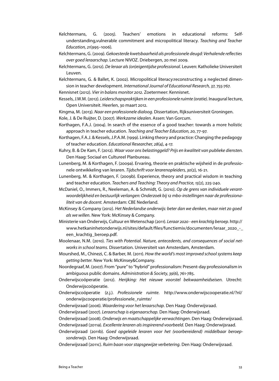- Kelchtermans, G. (2005). Teachers' emotions in educational reforms: Selfunderstanding,vulnerable commitment and micropolitical literacy. *Teaching and Teacher Education, 21*(995–1006).
- Kelchtermans, G. (2009). *Gekoesterde kwetsbaarheid als professionele deugd: Verhalende reflecties over goed leraarschap*. Lecture NIVOZ. Driebergen, 20 mei 2009*.*
- Kelchtermans, G. (2012). *De leraar als (on)eigentijdse professional.* Leuven: Katholieke Universiteit Leuven.
- Kelchtermans, G. & Ballet, K. (2002). Micropolitical literacy:reconstructing a neglected dimension in teacher development. *International Journal of Educational Research, 37*, 755-767.

Kennisnet (2012). *Vier in balans monitor 2012.* Zoetermeer: Kennisnet.

Kessels, J.W.M. (2012). *Leiderschapspraktijken in een professionele ruimte (oratie)*. Inaugural lecture, Open Universiteit. Heerlen, 30 maart 2012*.*

Kingma, M. (2013). *Naar een professionele dialoog.* Dissertation, Rijksuniversiteit Groningen.

- Kole, J. & De Ruijter, D. (2007). *Werkzame idealen.* Assen: Van Gorcum.
- Korthagen, F.A.J. (2004). In search of the essence of a good teacher: towards a more holistic approach in teacher education. *Teaching and Teacher Education, 20*, 77-97.
- Korthagen, F.A.J. & Kessels, J.P.A.M. (1999). Linking theory and practice: Changing the pedagogy of teacher education. *Educational Researcher, 28*(4), 4-17.
- Kuhry, B. & De Kam, F. (2012). *Waar voor ons belastinggeld? Prijs en kwaliteit van publieke diensten.* Den Haag: Sociaal en Cultureel Planbureau.
- Lunenberg, M. & Korthagen, F. (2009a). Ervaring, theorie en praktische wijsheid in de professionele ontwikkeling van leraren. *Tijdschrift voor lerarenopleiders, 30*(2), 16-21.
- Lunenberg, M. & Korthagen, F. (2009b). Experience, theory and practical wisdom in teaching and teacher education. *Teachers and Teaching: Theory and Practice, 15*(2), 225-240.
- McDaniel, O., Immers, R., Neeleman, A. & Schmidt, G. (2010). *Op de grens van individuele verantwoordelijkheid en bestuurlijk verlangen: Onderzoek bij 12 mbo-instellingen naar de professionaliteit van de docent.* Amsterdam: CBE Nederland.
- McKinsey & Company (2012). *Het Nederlandse onderwijs: beter dan we denken, maar niet zo goed als we willen.* New York: McKinsey & Company.
- Ministerie van Onderwijs, Cultuur en Wetenschap (2011). *Leraar 2020 een krachtig beroep*. http:// www.hetkaninhetonderwijs.nl/sites/default/files/functiemix/documenten/leraar\_2020\_-\_ een\_krachtig\_beroep.pdf.
- Moolenaar, N.M. (2010). *Ties with Potential. Nature, antecedents, and consequences of social networks in school teams.* Dissertation. Universiteit van Amsterdam, Amsterdam.
- Mourshed, M., Chinezi, C. & Barber, M. (2011). *How the world's most improved school systems keep getting better.* New York: McKinsey&Company.
- Noordegraaf, M. (2007). From "pure" to "hybrid" professionalism: Present-day professionalism in ambiguous public domains. *Administration & Society, 39*(6), 761-785.
- Onderwijscoöperatie (2012). *Herijking: Het nieuwe voorstel bekwaamheidseisen.* Utrecht: Onderwijscoöperatie.
- Onderwijscoöperatie (z.j.). *Professionele ruimte*. http://www.onderwijscooperatie.nl/?nl/ onderwijscooperatie/professionele\_ruimte/
- Onderwijsraad (2006). *Waardering voor het leraarschap.* Den Haag: Onderwijsraad.

Onderwijsraad (2007). *Leraarschap is eigenaarschap.* Den Haag: Onderwijsraad.

Onderwijsraad (2008). *Onderwijs en maatschappelijke verwachtingen.* Den Haag: Onderwijsraad.

Onderwijsraad (2011a). *Excellente leraren als inspirerend voorbeeld.* Den Haag: Onderwijsraad.

Onderwijsraad (2011b). *Goed opgeleide leraren voor het (voorbereidend) middelbaar beroepsonderwijs.* Den Haag: Onderwijsraad.

Onderwijsraad (2011c). *Ruim baan voor stapsgewijze verbetering.* Den Haag: Onderwijsraad.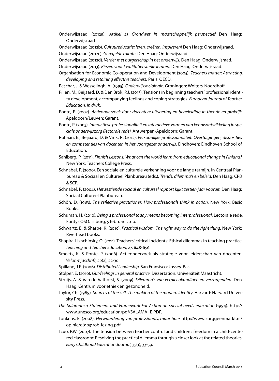- Onderwijsraad (2012a). *Artikel 23 Grondwet in maatschappelijk perspectief* Den Haag: Onderwijsraad.
- Onderwijsraad (2012b). *Cultuureducatie: leren, creëren, inspireren!* Den Haag: Onderwijsraad. Onderwijsraad (2012c). *Geregelde ruimte.* Den Haag: Onderwijsraad.
- Onderwijsraad (2012d). *Verder met burgerschap in het onderwijs.* Den Haag: Onderwijsraad.
- Onderwijsraad (2013). *Kiezen voor kwalitatief sterke leraren.* Den Haag: Onderwijsraad.
- Organisation for Economic Co-operation and Development (2005). *Teachers matter: Attracting, developing and retaining effective teachers.* Paris: OECD.
- Peschar, J. & Wesselingh, A. (1995). *Onderwijssociologie.* Groningen: Wolters-Noordhoff.
- Pillen, M., Beijaard, D. & Den Brok, P.J. (2013). Tensions in beginning teachers' professional identity development, accompanying feelings and coping strategies. *European Journal of Teacher Education, In druk*.
- Ponte, P. (2002). *Actieonderzoek door docenten: uitvoering en begeleiding in theorie en praktijk.*  Apeldoorn/Leuven: Garant.
- Ponte, P. (2003). *Interactieve professionaliteit en interactieve vormen van kennisontwikkeling in speciale onderwijszorg (lectorale rede).* Antwerpen-Apeldoorn: Garant.
- Rohaan, E., Beijaard, D. & Vink, R. (2012). *Persoonlijke professionaliteit: Overtuigingen, disposities*  en competenties van docenten in het voortgezet onderwijs. Eindhoven: Eindhoven School of Education.
- Sahlberg, P. (2011). *Finnish Lessons: What can the world learn from educational change in Finland?*  New York: Teachers College Press.
- Schnabel, P. (2000). Een sociale en culturele verkenning voor de lange termijn. In Centraal Planbureau & Sociaal en Cultureel Planbureau (eds.), *Trends, dilemma's en beleid*. Den Haag: CPB & SCP.
- Schnabel, P. (2004). *Het zestiende sociaal en cultureel rapport kijkt zestien jaar vooruit.* Den Haag: Sociaal Cultureel Planbureau.
- Schön, D. (1983). *The reflective practitioner: How professionals think in action*. New York: Basic Books.
- Schuman, H. (2010). *Being a professional today means becoming interprofessional*. Lectorale rede, Fontys OSO. Tilburg, 5 februari 2010*.*
- Schwartz, B. & Sharpe, K. (2010). *Practical wisdom. The right way to do the right thing.* New York: Riverhead books.
- Shapira-Lishchinsky, O. (2011). Teachers' critical incidents: Ethical dilemmas in teaching practice. *Teaching and Teacher Education, 27*, 648-656.
- Smeets, K. & Ponte, P. (2008). Actieonderzoek als strategie voor leiderschap van docenten. *Velon-tijdschrift, 29*(2), 22-30.
- Spillane, J.P. (2006). *Distributed Leadership.* San Fransisco: Jossey-Bas.
- Stolper, E. (2010). *Gut-feelings in general practice.* Dissertation. Universiteit Maastricht.
- Struijs, A. & Van de Vathorst, S. (2009). *Dilemma's van verpleegkundigen en verzorgenden.* Den Haag: Centrum voor ethiek en gezondheid.
- Taylor, Ch. (1989). *Sources of the self. The making of the modern identity.* Harvard: Harvard University Press.
- The Salamanca Statement and Framework For Action on special needs education (1994). http:// www.unesco.org/education/pdf/SALAMA\_E.PDF.
- Tonkens, E. (2008). *Herwaardering van professionals, maar hoe?* http://www.zorggeenmarkt.nl/ opinie/081031rob-lezing.pdf.
- Tzuo, P.W. (2007). The tension between teacher control and childrens freedom in a child-centered classroom: Resolving the practical dilemma through a closer look at the related theories. *Early Childhood Education Journal, 35*(1), 33-39.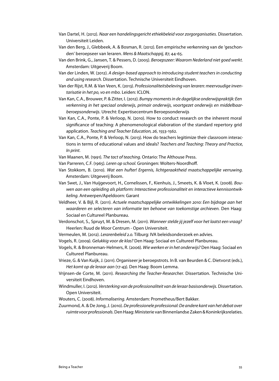- Van Dartel, H. (2012). *Naar een handelingsgericht ethiekbeleid voor zorgorganisaties.* Dissertation. Universiteit Leiden.
- Van den Berg, J., Glebbeek, A. & Bosman, R. (2012). Een empirische verkenning van de 'geschonden' beroepseer van leraren. *Mens & Maatschappij, 87*, 44-65.
- Van den Brink, G., Jansen, T. & Pessers, D. (2005). *Beroepszeer: Waarom Nederland niet goed werkt.*  Amsterdam: Uitgeverij Boom.
- Van der Linden, W. (2012). *A design-based approach to introducing student teachers in conducting and using research.* Dissertation. Technische Universiteit Eindhoven.
- Van der Rijst, R.M. & Van Veen, K. (2013). *Professionaliteitsbeleving van leraren: meervoudige inventarisatie in het po, vo en mbo.* Leiden: ICLON.
- Van Kan, C.A., Brouwer, P. & Zitter, I. (2012). *Bumpy moments in de dagelijkse onderwijspraktijk: Een verkenning in het speciaal onderwijs, primair onderwijs, voortgezet onderwijs en middelbaarberoepsonderwijs.* Utrecht: Expertisecentrum Beroepsonderwijs
- Van Kan, C.A., Ponte, P. & Verloop, N. (2010). How to conduct research on the inherent moral significance of teaching: A phenomenological elaboration of the standard repertory grid application. *Teaching and Teacher Education, 26*, 1553-1562.
- Van Kan, C.A., Ponte, P. & Verloop, N. (2013). How do teachers legitimize their classroom interactions in terms of educational values and ideals? *Teachers and Teaching: Theory and Practice, In print*.
- Van Maanen, M. (1991). *The tact of teaching.* Ontario: The Althouse Press.
- Van Parreren, C.F. (1965). *Leren op school.* Groningen: Wolters-Noordhoff.
- Van Stokkom, B. (2010). *Wat een hufter! Ergernis, lichtgeraaktheid maatschappelijke verruwing.*  Amsterdam: Uitgeverij Boom.
- Van Swet, J., Van Huijgevoort, H., Cornelissen, F., Kienhuis, J., Smeets, K. & Vloet, K. (2008). *Bouwen aan een opleiding als platform: Interactieve professionaliteit en interactieve kennisontwikkeling.* Antwerpen/Apeldoorn: Garant
- Veldheer, V. & Bijl, R. (2011). *Actuele maatschappelijke ontwikkelingen 2010: Een bijdrage aan het waarderen en selecteren van informatie ten behoeve van toekomstige archieven.* Den Haag: Sociaal en Cultureel Planbureau.
- Verdonschot, S., Spruyt, M. & Dresen, M. (2011). *Wanneer stelde jij jezelf voor het laatst een vraag?*  Heerlen: Ruud de Moor Centrum - Open Universiteit.
- Vermeulen, M. (2012). *Lerarenbeleid 2.0.* Tilburg: IVA beleidsonderzoek en advies.
- Vogels, R. (2009). *Gelukkig voor de klas?* Den Haag: Sociaal en Cultureel Planbureau.
- Vogels, R. & Bronneman-Helmers, R. (2006). *Wie werken er in het onderwijs?* Den Haag: Sociaal en Cultureel Planbureau.
- Vrieze, G. & Van Kuijk, J. (2011). Organiseer je beroepstrots. In B. van Beurden & C. Dietvorst (eds.), *Het komt op de leraar aan* (17-43). Den Haag: Boom Lemma.
- Vrijnsen-de Corte, M. (2011). *Researching the Teacher-Researcher.* Dissertation. Technische Universiteit Eindhoven.
- Windmuller, I. (2012). *Versterking van de professionaliteit van de leraar basisonderwijs.* Dissertation. Open Universiteit.
- Wouters, C. (2008). *Informalisering.* Amsterdam: Prometheus/Bert Bakker.

Zuurmond, A. & De Jong, J. (2010). *De professionele professional: De andere kant van het debat over ruimte voor professionals.* Den Haag: Ministerie van Binnenlandse Zaken & Koninkrijksrelaties.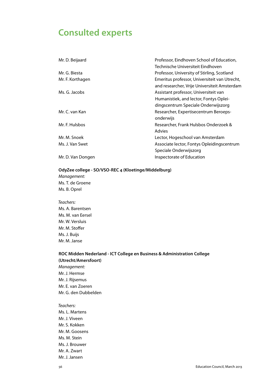# **Consulted experts**

| Mr. D. Beijaard   | Professor, Eindhoven School of Education,     |
|-------------------|-----------------------------------------------|
|                   | Technische Universiteit Eindhoven             |
| Mr. G. Biesta     | Professor, University of Stirling, Scotland   |
| Mr. F. Korthagen  | Emeritus professor, Universiteit van Utrecht, |
|                   | and researcher, Vrije Universiteit Amsterdam  |
| Ms. G. Jacobs     | Assistant professor, Universiteit van         |
|                   | Humanistiek, and lector, Fontys Oplei-        |
|                   | dingscentrum Speciale Onderwijszorg           |
| Mr. C. van Kan    | Researcher, Expertisecentrum Beroeps-         |
|                   | onderwijs                                     |
| Mr. F. Hulsbos    | Researcher, Frank Hulsbos Onderzoek &         |
|                   | Advies                                        |
| Mr. M. Snoek      | Lector, Hogeschool van Amsterdam              |
| Ms. J. Van Swet   | Associate lector, Fontys Opleidingscentrum    |
|                   | Speciale Onderwijszorg                        |
| Mr. D. Van Dongen | Inspectorate of Education                     |
|                   |                                               |

# **OdyZee college - SO/VSO-REC 4 (Kloetinge/Middelburg)**

*Management:* Ms. T. de Groene Ms. B. Oprel

*Teachers:* Ms. A. Barentsen Ms. M. van Eersel Mr. W. Versluis Mr. M. Stoffer Ms. J. Buijs Mr. M. Janse

# **ROC Midden Nederland - ICT College en Business & Administration College (Utrecht/Amersfoort)** *Management:* Mr. J. Hermse Mr. J. Rijsemus Mr. E. van Zoeren Mr. G. den Dubbelden

*Teachers:* Ms. L. Martens Mr. J. Viveen Mr. S. Kokken Mr. M. Goosens Ms. M. Stein Ms. J. Brouwer Mr. A. Zwart Mr. J. Jansen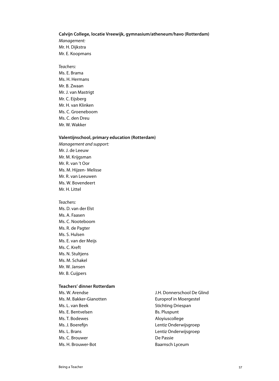# **Calvijn College, locatie Vreewijk, gymnasium/atheneum/havo (Rotterdam)**

*Management:* Mr. H. Dijkstra Mr. E. Koopmans

#### *Teachers:*

Ms. E. Brama Ms. H. Hermans Mr. B. Zwaan Mr. J. van Mastrigt Mr. C. Eijsberg Mr. H. van Klinken Ms. C. Groeneboom Ms. C. den Dreu Mr. W. Wakker

# **Valentijnschool, primary education (Rotterdam)**

*Management and support:* Mr. J. de Leeuw Mr. M. Krijgsman Mr. R. van 't Oor Ms. M. Hijzen- Melisse Mr. R. van Leeuwen Ms. W. Bovendeert Mr. H. Littel

#### *Teachers:*

Ms. D. van der Elst Ms. A. Faasen Ms. C. Nooteboom Ms. R. de Pagter Ms. S. Hulsen Ms. E. van der Meijs Ms. C. Kreft Ms. N. Stultjens Ms. M. Schakel Mr. W. Jansen Mr. B. Cuijpers

# **Teachers' dinner Rotterdam**

- Ms. M. Bakker-Gianotten **Europrof** in Moergestel Ms. L. van Beek Stichting Driespan Ms. E. Bentvelsen Bs. Pluspunt Ms. T. Bodewes **Aloyiuscollege** Ms. J. Boerefijn Lentiz Onderwijsgroep Ms. L. Brans Lentiz Onderwijsgroep Ms. C. Brouwer De Passie Ms. H. Brouwer-Bot **Baarnsch Lyceum**
- Ms. W. Arendse J.H. Donnerschool De Glind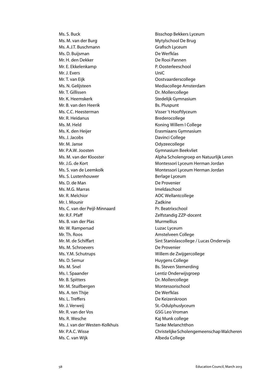Ms. M. van der Burg Mytylschool De Brug Ms. A.J.T. Buschmann Grafisch Lyceum Ms. D. Buijsman De Werfklas Mr. H. den Dekker De Rooi Pannen Mr. E. Ekkelenkamp **P. Oosterleeschool** Mr. J. Evers **UniC** Mr. T. van Eijk Oostvaarderscollege Ms. N. Gelijsteen Mediacollege Amsterdam Mr. T. Gillissen Dr. Mollercollege Mr. K. Heemskerk Stedelijk Gymnasium Mr. B. van den Heerik Bs. Pluspunt Ms. C.C. Heesterman Visser 't Hooftlyceum Mr. R. Heidanus Brederocollege Ms. M. Held Koning Willem I College Ms. K. den Heijer **Erasmiaans Gymnasium** Ms. J. Jacobs Davinci College Mr. M. Janse Communication Controllege Mr. P.A.W. Joosten Gymnasium Beekvliet Ms. S. Lustenhouwer **Berlage Lyceum** Ms. D. de Man De Provenier Ms. M.G. Marras **Imeldaschool** Mr. R. Melchior **AOC Wellantcollege** Mr. I. Mounir Zadkine Ms. C. van der Peijl-Minnaard Pr. Beatrixschool Mr. R.F. Pfaff **Zelfstandig ZZP-docent** Ms. B. van der Plas Murmellius Mr. W. Rampersad **Luzac Lyceum** Mr. Th. Roos **Amstelveen College** Ms. M. Schroevers **De Provenier** Ms. Y.M. Schutrups Willem de Zwijgercollege Ms. D. Semur **Huygens College** Ms. M. Snel Bs. Steven Stemerding Ms. I. Spaander Lentiz Onderwijsgroep Mr. B. Spitters **Dr. Mollercollege** Mr. M. Stuifbergen Montessorischool Ms. A. ten Thije De Werfklas Ms. L. Treffers **De Keizerskroon** Mr. J. Verweij St.-Odulphuslyceum Mr. R. van der Vos GSG Leo Vroman Ms. R. Wesche Kaj Munk college Ms. J. van der Westen-Kolkhuis Tanke Melanchthon Ms. C. van Wijk **Albeda College** 

Ms. S. Buck Bisschop Bekkers Lyceum Ms. M. van der Klooster Alpha Scholengroep en Natuurlijk Leren Mr. J.G. de Kort **Montessori Lyceum Herman Jordan** Ms. S. van de Leemkolk Montessori Lyceum Herman Jordan Mr. M. de Schiffart Stanislascollege / Lucas Onderwijs Mr. P.A.C. Wisse Christelijke Scholengemeenschap Walcheren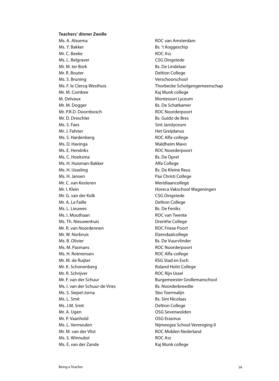**Teachers' dinner Zwolle** Ms. A. Alssema ROC van Amsterdam Ms. Y. Bakker Bs. 't Koggeschip Mr. C. Beeke ROC A12 Ms. L. Belgraver CSG Dingstede Mr. M. ter Bork Bs. De Lindelaar Mr. R. Bouter **Deltion College** Ms. S. Bruning Verschoorschool Mr. M. Combee Kaj Munk college M. Delvaux and a state of the Montessori Lyceum Mr. M. Dogger Bs. De Schatkamer Mr. P.R.D. Doornbosch ROC Noorderpoort Mr. D. Dreschler Bs. Guido de Bres Ms. S. Faes Sint Janslyceum Mr. J. Fahner Het Greijdanus Ms. S. Hardenberg extending the ROC Alfa-college Ms. D. Havinga **Waldheim Mavo** Ms. E. Hendriks **ROC Noorderpoort** Ms. C. Hoeksma Bs. De Oprel Ms. H. Huisman-Bakker Alfa College Ms. H. IJsseling Bs. De Kleine Reus Ms. H. Jansen **Pax Christi College** Mr. C. van Kesteren Meridiaancollege Mr. G. van der Kolk CSG Dingstede Mr. A. La Faille **Deltion College** Ms. L. Lieuwes **Bs. De Feniks** Ms. I. Mouthaan ROC van Twente Ms. Th. Nieuwenhuis **Direction College** Mr. R. van Noordennen aan de eerste ROC Friese Poort Mr. W. Norbruis Elzendaalcollege Ms. B. Olivier **Bridge Bank Community** Bs. De Vuurvlinder Ms. M. Pasmans ROC Noorderpoort Ms. H. Rotmensen **Michael Alfa-college** Mr. M. de Ruijter **Mr. M. de Ruijter** RSG Stad en Esch Mr. K. Schonenberg **Roland Holst College** Mr. R. Schrijver **ROC Rijn IJssel** Ms. I. van der Schuur-de Vries Broom Bs. Noorderbreedte Ms. S. Siepel-Jorna Sbo Toermalijn Ms. L. Smit Bs. Sint Nicolaas Ms. J.M. Smit Deltion College Mr. A. Ugen Carrier Controller Controller Controller Controller Controller Controller Controller Controller Co Mr. P. Vaanhold OSG Erasmus Mr. M. van der Vlist aan der versteel van der versteel van de ROC Midden Nederland Ms. S. Winnubst ROC A12 Ms. E. van der Zande Kaj Munk college

Ms. F. le Clercq-Westhuis Thorbecke Scholgengemeenschap Mr. I. Klein **Mr. I. Klein** Horeca Vakschool Wageningen Mr. F. van der Schuur aan der Schuur Burgemeester Grollemanschool Ms. L. Vermeulen Nijmeegse School Vereniging II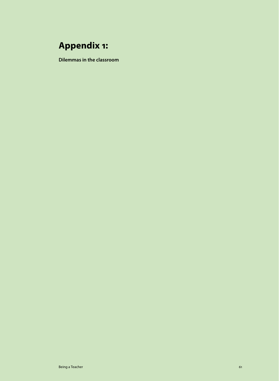# **Appendix 1:**

**Dilemmas in the classroom**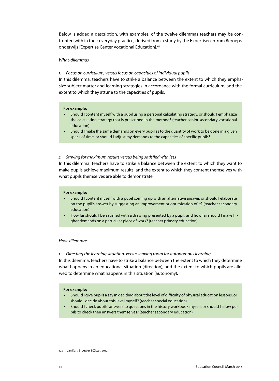Below is added a description, with examples, of the twelve dilemmas teachers may be confronted with in their everyday practice, derived from a study by the Expertisecentrum Beroepsonderwijs [Expertise Center Vocational Education].123

### *What-dilemmas*

# *1. Focus on curriculum, versus focus on capacities of individual pupils*

In this dilemma, teachers have to strike a balance between the extent to which they emphasize subject matter and learning strategies in accordance with the formal curriculum, and the extent to which they attune to the capacities of pupils.

#### **For example:**

- • Should I content myself with a pupil using a personal calculating strategy, or should I emphasize the calculating strategy that is prescribed in the method? (teacher senior secondary vocational education)
- Should I make the same demands on every pupil as to the quantity of work to be done in a given space of time, or should I adjust my demands to the capacities of specific pupils?

# *2. Striving for maximum results versus being satisfied with less*

In this dilemma, teachers have to strike a balance between the extent to which they want to make pupils achieve maximum results, and the extent to which they content themselves with what pupils themselves are able to demonstrate.

#### **For example:**

- • Should I content myself with a pupil coming up with an alternative answer, or should I elaborate on the pupil's answer by suggesting an improvement or optimization of it? (teacher secondary education)
- How far should I be satisfied with a drawing presented by a pupil, and how far should I make higher demands on a particular piece of work? (teacher primary education)

### *How-dilemmas*

*1. Directing the learning situation, versus leaving room for autonomous learning*

In this dilemma, teachers have to strike a balance between the extent to which they determine what happens in an educational situation (direction), and the extent to which pupils are allowed to determine what happens in this situation (autonomy).

#### **For example:**

- • Should I give pupils a say in deciding about the level of difficulty of physical education lessons, or should I decide about this level myself? (teacher special education)
- Should I check pupils' answers to questions in the history workbook myself, or should I allow pupils to check their answers themselves? (teacher secondary education)

123 Van Kan, Brouwer & Zitter, 2012.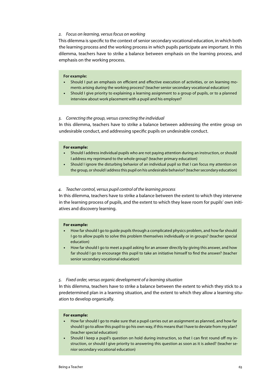#### *2. Focus on learning, versus focus on working*

This dilemma is specific to the context of senior secondary vocational education, in which both the learning process and the working process in which pupils participate are important. In this dilemma, teachers have to strike a balance between emphasis on the learning process, and emphasis on the working process.

#### **For example:**

- • Should I put an emphasis on efficient and effective execution of activities, or on learning moments arising during the working process? (teacher senior secondary vocational education)
- Should I give priority to explaining a learning assignment to a group of pupils, or to a planned interview about work placement with a pupil and his employer?

### *3. Correcting the group, versus correcting the individual*

In this dilemma, teachers have to strike a balance between addressing the entire group on undesirable conduct, and addressing specific pupils on undesirable conduct.

#### **For example:**

- Should I address individual pupils who are not paying attention during an instruction, or should I address my reprimand to the whole group? (teacher primary education)
- Should I ignore the disturbing behavior of an individual pupil so that I can focus my attention on the group, or should I address this pupil on his undesirable behavior? (teacher secondary education)

#### *4. Teacher control, versus pupil control of the learning process*

In this dilemma, teachers have to strike a balance between the extent to which they intervene in the learning process of pupils, and the extent to which they leave room for pupils' own initiatives and discovery learning.

#### **For example:**

- How far should I go to guide pupils through a complicated physics problem, and how far should I go to allow pupils to solve this problem themselves individually or in groups? (teacher special education)
- How far should I go to meet a pupil asking for an answer directly by giving this answer, and how far should I go to encourage this pupil to take an initiative himself to find the answer? (teacher senior secondary vocational education)

### *5. Fixed order, versus organic development of a learning situation*

In this dilemma, teachers have to strike a balance between the extent to which they stick to a predetermined plan in a learning situation, and the extent to which they allow a learning situation to develop organically.

#### **For example:**

- • How far should I go to make sure that a pupil carries out an assignment as planned, and how far should I go to allow this pupil to go his own way, if this means that I have to deviate from my plan? (teacher special education)
- • Should I keep a pupil's question on hold during instruction, so that I can first round off my instruction, or should I give priority to answering this question as soon as it is asked? (teacher senior secondary vocational education)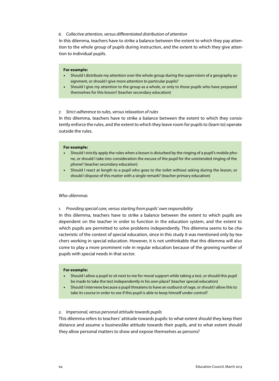# *6. Collective attention, versus differentiated distribution of attention*

In this dilemma, teachers have to strike a balance between the extent to which they pay attention to the whole group of pupils during instruction, and the extent to which they give attention to individual pupils.

#### **For example:**

- Should I distribute my attention over the whole group during the supervision of a geography assignment, or should I give more attention to particular pupils?
- • Should I give my attention to the group as a whole, or only to those pupils who have prepared themselves for this lesson? (teacher secondary education)

# *7. Strict adherence to rules, versus relaxation of rules*

In this dilemma, teachers have to strike a balance between the extent to which they consistently enforce the rules, and the extent to which they leave room for pupils to (learn to) operate outside the rules.

#### **For example:**

- Should I strictly apply the rules when a lesson is disturbed by the ringing of a pupil's mobile phone, or should I take into consideration the excuse of the pupil for the unintended ringing of the phone? (teacher secondary education)
- Should I react at length to a pupil who goes to the toilet without asking during the lesson, or should I dispose of this matter with a single remark? (teacher primary education)

#### *Who-dilemmas*

### *1. Providing special care, versus starting from pupils' own responsibility*

In this dilemma, teachers have to strike a balance between the extent to which pupils are dependent on the teacher in order to function in the education system, and the extent to which pupils are permitted to solve problems independently. This dilemma seems to be characteristic of the context of special education, since in this study it was mentioned only by teachers working in special education. However, it is not unthinkable that this dilemma will also come to play a more prominent role in regular education because of the growing number of pupils with special needs in that sector.

#### **For example:**

- • Should I allow a pupil to sit next to me for moral support while taking a test, or should this pupil be made to take the test independently in his own place? (teacher special education)
- Should I intervene because a pupil threatens to have an outburst of rage, or should I allow this to take its course in order to see if this pupil is able to keep himself under control?

#### *2. Impersonal, versus personal attitude towards pupils*

This dilemma refers to teachers' attitude towards pupils: to what extent should they keep their distance and assume a businesslike attitude towards their pupils, and to what extent should they allow personal matters to show and expose themselves as persons?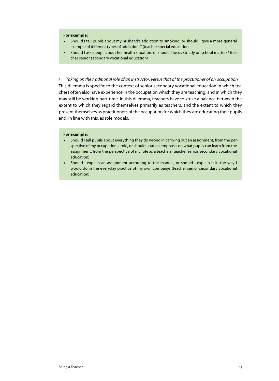#### **For example:**

- Should I tell pupils about my husband's addiction to smoking, or should I give a more general example of different types of addictions? (teacher special education
- Should I ask a pupil about her health situation, or should I focus strictly on school matters? (teacher senior secondary vocational education)

*3. Taking on the traditional role of an instructor, versus that of the practitioner of an occupation* This dilemma is specific to the context of senior secondary vocational education in which teachers often also have experience in the occupation which they are teaching, and in which they may still be working part-time. In this dilemma, teachers have to strike a balance between the extent to which they regard themselves primarily as teachers, and the extent to which they present themselves as practitioners of the occupation for which they are educating their pupils, and, in line with this, as role models.

#### **For example:**

- • Should I tell pupils about everything they do wrong in carrying out an assignment, from the perspective of my occupational role, or should I put an emphasis on what pupils can learn from the assignment, from the perspective of my role as a teacher? (teacher senior secondary vocational education)
- Should I explain an assignment according to the manual, or should I explain it in the way I would do in the everyday practice of my own company? (teacher senior secondary vocational education)